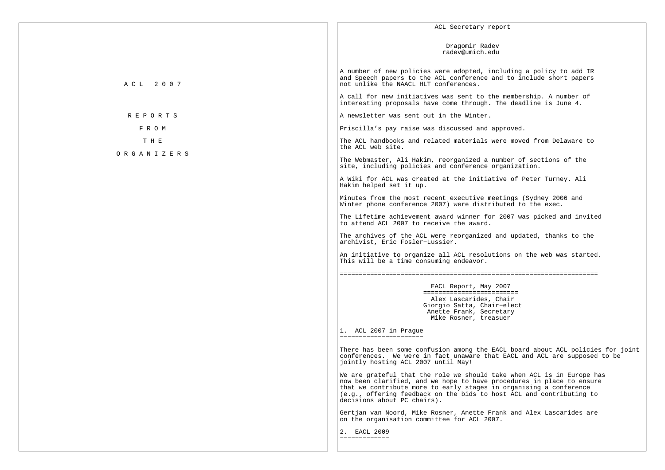|                | ACL Secretary report                                                                                                                                                                                                                                                                                                         |
|----------------|------------------------------------------------------------------------------------------------------------------------------------------------------------------------------------------------------------------------------------------------------------------------------------------------------------------------------|
|                | Dragomir Radev<br>radev@umich.edu                                                                                                                                                                                                                                                                                            |
| A C L 2 0 0 7  | A number of new policies were adopted, including a policy to add IR<br>and Speech papers to the ACL conference and to include short papers<br>not unlike the NAACL HLT conferences.                                                                                                                                          |
|                | A call for new initiatives was sent to the membership. A number of<br>interesting proposals have come through. The deadline is June 4.                                                                                                                                                                                       |
| <b>REPORTS</b> | A newsletter was sent out in the Winter.                                                                                                                                                                                                                                                                                     |
| F R O M        | Priscilla's pay raise was discussed and approved.                                                                                                                                                                                                                                                                            |
| T H E          | The ACL handbooks and related materials were moved from Delaware to<br>the ACL web site.                                                                                                                                                                                                                                     |
| ORGANIZERS     | The Webmaster, Ali Hakim, reorganized a number of sections of the<br>site, including policies and conference organization.                                                                                                                                                                                                   |
|                | A Wiki for ACL was created at the initiative of Peter Turney. Ali<br>Hakim helped set it up.                                                                                                                                                                                                                                 |
|                | Minutes from the most recent executive meetings (Sydney 2006 and<br>Winter phone conference 2007) were distributed to the exec.                                                                                                                                                                                              |
|                | The Lifetime achievement award winner for 2007 was picked and invited<br>to attend ACL 2007 to receive the award.                                                                                                                                                                                                            |
|                | The archives of the ACL were reorganized and updated, thanks to the<br>archivist, Eric Fosler-Lussier.                                                                                                                                                                                                                       |
|                | An initiative to organize all ACL resolutions on the web was started.<br>This will be a time consuming endeavor.                                                                                                                                                                                                             |
|                |                                                                                                                                                                                                                                                                                                                              |
|                | EACL Report, May 2007                                                                                                                                                                                                                                                                                                        |
|                | ==========================<br>Alex Lascarides, Chair<br>Giorgio Satta, Chair-elect<br>Anette Frank, Secretary<br>Mike Rosner, treasuer                                                                                                                                                                                       |
|                | 1. ACL 2007 in Praque<br>_______________________                                                                                                                                                                                                                                                                             |
|                | There has been some confusion among the EACL board about ACL policies for joint<br>conferences. We were in fact unaware that EACL and ACL are supposed to be<br>jointly hosting ACL 2007 until May!                                                                                                                          |
|                | We are grateful that the role we should take when ACL is in Europe has<br>now been clarified, and we hope to have procedures in place to ensure<br>that we contribute more to early stages in organising a conference<br>(e.g., offering feedback on the bids to host ACL and contributing to<br>decisions about PC chairs). |
|                | Gertjan van Noord, Mike Rosner, Anette Frank and Alex Lascarides are<br>on the organisation committee for ACL 2007.                                                                                                                                                                                                          |
|                | 2. EACL 2009<br>_____________                                                                                                                                                                                                                                                                                                |
|                |                                                                                                                                                                                                                                                                                                                              |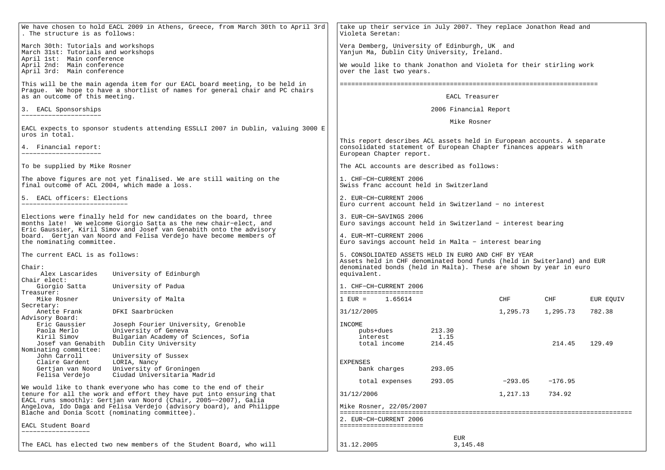| We have chosen to hold EACL 2009 in Athens, Greece, from March 30th to April 3rd<br>. The structure is as follows:                                                                                             |                                                                                                                                                             | take up their service in July 2007. They replace Jonathon Read and<br>Violeta Seretan:                                                                                 |                   |           |           |           |
|----------------------------------------------------------------------------------------------------------------------------------------------------------------------------------------------------------------|-------------------------------------------------------------------------------------------------------------------------------------------------------------|------------------------------------------------------------------------------------------------------------------------------------------------------------------------|-------------------|-----------|-----------|-----------|
| March 30th: Tutorials and workshops<br>March 31st: Tutorials and workshops<br>April 1st: Main conference                                                                                                       |                                                                                                                                                             | Vera Demberg, University of Edinburgh, UK and<br>Yanjun Ma, Dublin City University, Ireland.                                                                           |                   |           |           |           |
| April 2nd: Main conference<br>April 3rd: Main conference                                                                                                                                                       |                                                                                                                                                             | We would like to thank Jonathon and Violeta for their stirling work<br>over the last two years.                                                                        |                   |           |           |           |
|                                                                                                                                                                                                                | This will be the main agenda item for our EACL board meeting, to be held in<br>Prague. We hope to have a shortlist of names for general chair and PC chairs |                                                                                                                                                                        |                   |           |           |           |
| as an outcome of this meeting.                                                                                                                                                                                 |                                                                                                                                                             |                                                                                                                                                                        | EACL Treasurer    |           |           |           |
| 3. EACL Sponsorships<br>---------------------                                                                                                                                                                  |                                                                                                                                                             | 2006 Financial Report                                                                                                                                                  |                   |           |           |           |
| uros in total.                                                                                                                                                                                                 | EACL expects to sponsor students attending ESSLLI 2007 in Dublin, valuing 3000 E                                                                            | Mike Rosner                                                                                                                                                            |                   |           |           |           |
| 4. Financial report:                                                                                                                                                                                           |                                                                                                                                                             | This report describes ACL assets held in European accounts. A separate<br>consolidated statement of European Chapter finances appears with<br>European Chapter report. |                   |           |           |           |
| To be supplied by Mike Rosner                                                                                                                                                                                  |                                                                                                                                                             | The ACL accounts are described as follows:                                                                                                                             |                   |           |           |           |
| final outcome of ACL 2004, which made a loss.                                                                                                                                                                  | The above figures are not yet finalised. We are still waiting on the                                                                                        | 1. CHF-CH-CURRENT 2006<br>Swiss franc account held in Switzerland                                                                                                      |                   |           |           |           |
| 5. EACL officers: Elections                                                                                                                                                                                    |                                                                                                                                                             | 2. EUR-CH-CURRENT 2006<br>Euro current account held in Switzerland - no interest                                                                                       |                   |           |           |           |
| Elections were finally held for new candidates on the board, three<br>months late! We welcome Giorgio Satta as the new chair-elect, and<br>Eric Gaussier, Kiril Simov and Josef van Genabith onto the advisory |                                                                                                                                                             | 3. EUR-CH-SAVINGS 2006<br>Euro savings account held in Switzerland - interest bearing                                                                                  |                   |           |           |           |
| board.  Gertjan van Noord and Felisa Verdejo have become members of<br>the nominating committee.                                                                                                               |                                                                                                                                                             | 4. EUR-MT-CURRENT 2006<br>Euro savings account held in Malta - interest bearing                                                                                        |                   |           |           |           |
| The current EACL is as follows:                                                                                                                                                                                |                                                                                                                                                             | 5. CONSOLIDATED ASSETS HELD IN EURO AND CHF BY YEAR<br>Assets held in CHF denominated bond funds (held in Switerland) and EUR                                          |                   |           |           |           |
| Chair:<br>Alex Lascarides<br>University of Edinburgh                                                                                                                                                           |                                                                                                                                                             | denominated bonds (held in Malta). These are shown by year in euro<br>equivalent.                                                                                      |                   |           |           |           |
| Chair elect:                                                                                                                                                                                                   |                                                                                                                                                             |                                                                                                                                                                        |                   |           |           |           |
| Giorgio Satta<br>Treasurer:                                                                                                                                                                                    | University of Padua                                                                                                                                         | 1. CHF-CH-CURRENT 2006<br>----------------------                                                                                                                       |                   |           |           |           |
| Mike Rosner                                                                                                                                                                                                    | University of Malta                                                                                                                                         | $1$ EUR = $1.65614$                                                                                                                                                    |                   | CHF       | CHF       | EUR EQUIV |
| Secretary:<br>Anette Frank                                                                                                                                                                                     | DFKI Saarbrücken                                                                                                                                            | 31/12/2005                                                                                                                                                             |                   | 1,295.73  | 1,295.73  | 782.38    |
| Advisory Board:                                                                                                                                                                                                |                                                                                                                                                             |                                                                                                                                                                        |                   |           |           |           |
| Eric Gaussier<br>Paola Merlo                                                                                                                                                                                   | Joseph Fourier University, Grenoble<br>University of Geneva                                                                                                 | INCOME<br>pubs+dues                                                                                                                                                    | 213.30            |           |           |           |
| Kiril Simov                                                                                                                                                                                                    | Bulgarian Academy of Sciences, Sofia                                                                                                                        | interest                                                                                                                                                               | 1.15              |           |           |           |
| Josef van Genabith<br>Nominating committee:                                                                                                                                                                    | Dublin City University                                                                                                                                      | total income                                                                                                                                                           | 214.45            |           | 214.45    | 129.49    |
| John Carroll                                                                                                                                                                                                   | University of Sussex                                                                                                                                        |                                                                                                                                                                        |                   |           |           |           |
| Claire Gardent                                                                                                                                                                                                 | LORIA, Nancy                                                                                                                                                | EXPENSES                                                                                                                                                               |                   |           |           |           |
| Gertjan van Noord<br>Felisa Verdejo                                                                                                                                                                            | University of Groningen<br>Ciudad Universitaria Madrid                                                                                                      | bank charges                                                                                                                                                           | 293.05            |           |           |           |
|                                                                                                                                                                                                                |                                                                                                                                                             | total expenses                                                                                                                                                         | 293.05            | $-293.05$ | $-176.95$ |           |
| We would like to thank everyone who has come to the end of their<br>tenure for all the work and effort they have put into ensuring that                                                                        |                                                                                                                                                             | 31/12/2006                                                                                                                                                             |                   | 1,217.13  | 734.92    |           |
| EACL runs smoothly: Gertjan van Noord (Chair, 2005--2007), Galia<br>Angelova, Ido Daga and Felisa Verdejo (advisory board), and Philippe                                                                       |                                                                                                                                                             | Mike Rosner, 22/05/2007                                                                                                                                                |                   |           |           |           |
| Blache and Donia Scott (nominating committee).                                                                                                                                                                 |                                                                                                                                                             |                                                                                                                                                                        |                   |           |           |           |
| EACL Student Board                                                                                                                                                                                             |                                                                                                                                                             | 2. EUR-CH-CURRENT 2006<br>======================                                                                                                                       |                   |           |           |           |
|                                                                                                                                                                                                                | The EACL has elected two new members of the Student Board, who will                                                                                         | 31.12.2005                                                                                                                                                             | EUR<br>3, 145. 48 |           |           |           |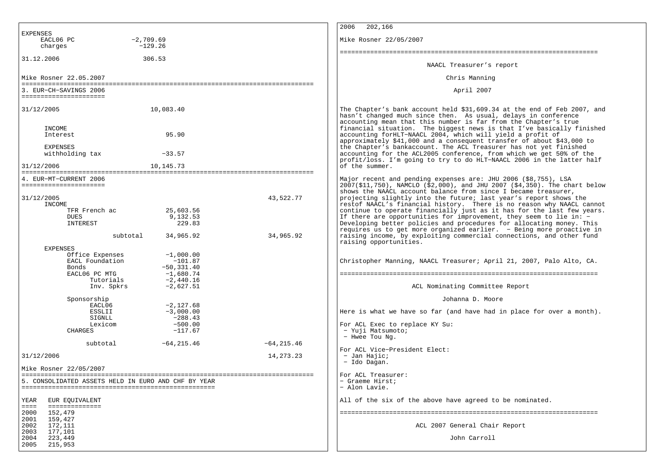|                                                                                                                                             | 2006<br>202,166                                                                                                                                                                                                                                                                                                                                                                                                                                            |
|---------------------------------------------------------------------------------------------------------------------------------------------|------------------------------------------------------------------------------------------------------------------------------------------------------------------------------------------------------------------------------------------------------------------------------------------------------------------------------------------------------------------------------------------------------------------------------------------------------------|
| <b>EXPENSES</b><br>EACL06 PC<br>$-2,709.69$<br>charges<br>$-129.26$                                                                         | Mike Rosner 22/05/2007                                                                                                                                                                                                                                                                                                                                                                                                                                     |
| 31.12.2006<br>306.53                                                                                                                        |                                                                                                                                                                                                                                                                                                                                                                                                                                                            |
|                                                                                                                                             | NAACL Treasurer's report                                                                                                                                                                                                                                                                                                                                                                                                                                   |
| Mike Rosner 22.05.2007                                                                                                                      | Chris Manning                                                                                                                                                                                                                                                                                                                                                                                                                                              |
| 3. EUR-CH-SAVINGS 2006<br>=======================                                                                                           | April 2007                                                                                                                                                                                                                                                                                                                                                                                                                                                 |
| 31/12/2005<br>10,083.40                                                                                                                     | The Chapter's bank account held \$31,609.34 at the end of Feb 2007, and<br>hasn't changed much since then. As usual, delays in conference<br>accounting mean that this number is far from the Chapter's true                                                                                                                                                                                                                                               |
| INCOME<br>95.90<br>Interest                                                                                                                 | financial situation. The biggest news is that I've basically finished<br>accounting forHLT-NAACL 2004, which will yield a profit of<br>approximately \$41,000 and a consequent transfer of about \$43,000 to                                                                                                                                                                                                                                               |
| <b>EXPENSES</b><br>withholding tax<br>$-33.57$                                                                                              | the Chapter's bankaccount. The ACL Treasurer has not yet finished<br>accounting for the ACL2005 conference, from which we get 50% of the<br>profit/loss. I'm going to try to do HLT-NAACL 2006 in the latter half                                                                                                                                                                                                                                          |
| 31/12/2006<br>10,145.73                                                                                                                     | of the summer.                                                                                                                                                                                                                                                                                                                                                                                                                                             |
| 4. EUR-MT-CURRENT 2006<br>======================<br>31/12/2005                                                                              | Major recent and pending expenses are: JHU 2006 (\$8,755), LSA<br>2007(\$11,750), NAMCLO (\$2,000), and JHU 2007 (\$4,350). The chart below<br>shows the NAACL account balance from since I became treasurer,<br>43,522.77<br>projecting slightly into the future; last year's report shows the                                                                                                                                                            |
| INCOME<br>TFR French ac<br>25,603.56<br>9,132.53<br>DUES<br>229.83<br>INTEREST<br>34,965.92<br>subtotal                                     | restof NAACL's financial history. There is no reason why NAACL cannot<br>continue to operate financially just as it has for the last few years.<br>If there are opportunities for improvement, they seem to lie in: -<br>Developing better policies and procedures for allocating money. This<br>requires us to get more organized earlier. - Being more proactive in<br>34,965.92<br>raising income, by exploiting commercial connections, and other fund |
| <b>EXPENSES</b><br>Office Expenses<br>$-1,000.00$<br>EACL Foundation<br>$-101.87$<br>$-50, 331.40$<br>Bonds<br>EACL06 PC MTG<br>$-1,680.74$ | raising opportunities.<br>Christopher Manning, NAACL Treasurer; April 21, 2007, Palo Alto, CA.                                                                                                                                                                                                                                                                                                                                                             |
| $-2,440.16$<br>Tutorials<br>$-2,627.51$<br>Inv. Spkrs                                                                                       | ACL Nominating Committee Report                                                                                                                                                                                                                                                                                                                                                                                                                            |
| Sponsorship                                                                                                                                 | Johanna D. Moore                                                                                                                                                                                                                                                                                                                                                                                                                                           |
| EACL06<br>$-2,127.68$<br>ESSLII<br>$-3,000.00$                                                                                              | Here is what we have so far (and have had in place for over a month).                                                                                                                                                                                                                                                                                                                                                                                      |
| $-288.43$<br>SIGNLL<br>$-500.00$<br>Lexicom<br>$-117.67$<br>CHARGES                                                                         | For ACL Exec to replace KY Su:<br>- Yuji Matsumoto;<br>- Hwee Tou Nq.                                                                                                                                                                                                                                                                                                                                                                                      |
| $-64, 215.46$<br>subtotal                                                                                                                   | $-64, 215.46$                                                                                                                                                                                                                                                                                                                                                                                                                                              |
| 31/12/2006                                                                                                                                  | For ACL Vice-President Elect:<br>14, 273. 23<br>- Jan Hajic;<br>- Ido Dagan.                                                                                                                                                                                                                                                                                                                                                                               |
| Mike Rosner 22/05/2007                                                                                                                      |                                                                                                                                                                                                                                                                                                                                                                                                                                                            |
| 5. CONSOLIDATED ASSETS HELD IN EURO AND CHF BY YEAR                                                                                         | For ACL Treasurer:<br>- Graeme Hirst;<br>- Alon Lavie.                                                                                                                                                                                                                                                                                                                                                                                                     |
| YEAR<br>EUR EQUIVALENT<br>==============<br>$=$                                                                                             | All of the six of the above have agreed to be nominated.                                                                                                                                                                                                                                                                                                                                                                                                   |
| 2000<br>152,479<br>2001<br>159,427<br>2002<br>172,111                                                                                       | ACL 2007 General Chair Report                                                                                                                                                                                                                                                                                                                                                                                                                              |
| 2003<br>177,101<br>2004<br>223,449<br>2005<br>215,953                                                                                       | John Carroll                                                                                                                                                                                                                                                                                                                                                                                                                                               |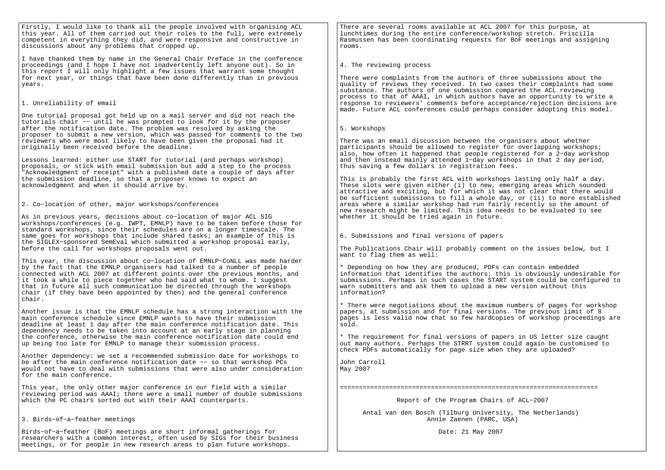Firstly, I would like to thank all the people involved with organising ACL this year. All of them carried out their roles to the full, were extremely competent in everything they did, and were responsive and constructive indiscussions about any problems that cropped up.

I have thanked them by name in the General Chair Preface in the conferenceproceedings (and I hope I have not inadvertently left anyone out). So in this report I will only highlight a few issues that warrant some thought for next year, or things that have been done differently than in previousyears.

# 1. Unreliability of email

One tutorial proposal got held up on a mail server and did not reach the tutorials chair −− until he was prompted to look for it by the proposerafter the notification date. The problem was resolved by asking the proposer to submit a new version, which was passed for comments to the tworeviewers who were most likely to have been given the proposal had itoriginally been received before the deadline.

Lessons learned: either use START for tutorial (and perhaps workshop) proposals, or stick with email submission but add a step to the process "Acknowledgment of receipt" with a published date a couple of days afterthe submission deadline, so that a proposer knows to expect anacknowledgment and when it should arrive by.

2. Co−location of other, major workshops/conferences

As in previous years, decisions about co−location of major ACL SIG workshops/conferences (e.g. IWPT, EMNLP) have to be taken before those forstandard workshops, since their schedules are on a longer timescale. The same goes for workshops that include shared tasks; an example of this is the SIGLEX−sponsored SemEval which submitted a workshop proposal early,before the call for workshops proposals went out.

This year, the discussion about co−location of EMNLP−CoNLL was made harderby the fact that the EMNLP organisers had talked to a number of people connected with ACL 2007 at different points over the previous months, andit took a while to piece together who had said what to whom. I suggest that in future all such communication be directed through the workshops chair (if they have been appointed by then) and the general conferencechair.

Another issue is that the EMNLP schedule has a strong interaction with themain conference schedule since EMNLP wants to have their submission deadline at least 1 day after the main conference notification date. Thisdependency needs to be taken into account at an early stage in planning the conference, otherwise the main conference notification date could endup being too late for EMNLP to manage their submission process.

Another dependency: we set a recommended submission date for workshops tobe after the main conference notification date −− so that workshop PCs would not have to deal with submissions that were also under considerationfor the main conference.

This year, the only other major conference in our field with a similar reviewing period was AAAI; there were a small number of double submissionswhich the PC chairs sorted out with their AAAI counterparts.

3. Birds−of−a−feather meetings

Birds−of−a−feather (BoF) meetings are short informal gatherings for researchers with a common interest, often used by SIGs for their businessmeetings, or for people in new research areas to plan future workshops.

There are several rooms available at ACL 2007 for this purpose, at lunchtimes during the entire conference/workshop stretch. Priscilla Rasmussen has been coordinating requests for BoF meetings and assigningrooms.

# 4. The reviewing process

There were complaints from the authors of three submissions about the quality of reviews they received. In two cases their complaints had somesubstance. The authors of one submission compared the ACL reviewing process to that of AAAI, in which authors have an opportunity to write a response to reviewers' comments before acceptance/rejection decisions aremade. Future ACL conferences could perhaps consider adopting this model.

# 5. Workshops

There was an email discussion between the organisers about whether participants should be allowed to register for overlapping workshops; also, how often it happened that people registered for a 2−day workshop and then instead mainly attended 1−day workshops in that 2 day period,thus saving a few dollars in registration fees.

This is probably the first ACL with workshops lasting only half a day. These slots were given either (i) to new, emerging areas which sounded attractive and exciting, but for which it was not clear that there would be sufficient submissions to fill a whole day, or (ii) to more establishedareas where a similar workshop had run fairly recently so the amount ofnew research might be limited. This idea needs to be evaluated to seewhether it should be tried again in future.

6. Submissions and final versions of papers

The Publications Chair will probably comment on the issues below, but Iwant to flag them as well:

\* Depending on how they are produced, PDFs can contain embedded information that identifies the authors; this is obviously undesirable for submissions. Perhaps in such cases the START system could be configured towarn submitters and ask them to upload a new version without thisinformation?

\* There were negotiations about the maximum numbers of pages for workshoppapers, at submission and for final versions. The previous limit of 8 pages is less valid now that so few hardcopies of workshop proceedings aresold.

\* The requirement for final versions of papers in US letter size caught out many authors. Perhaps the STRRT system could again be customised tocheck PDFs automatically for page size when they are uploaded?

John CarrollMay 2007

====================================================================

Report of the Program Chairs of ACL−2007

 Antal van den Bosch (Tilburg University, The Netherlands)Annie Zaenen (PARC, USA)

Date: 21 May 2007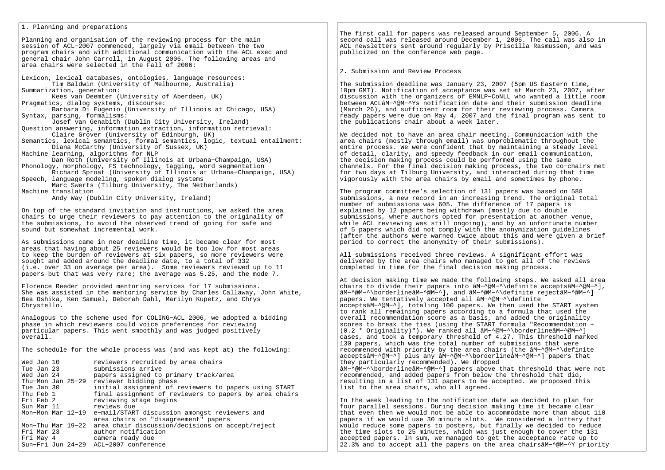# 1. Planning and preparations

Planning and organisation of the reviewing process for the main session of ACL−2007 commenced, largely via email between the two program chairs and with additional communication with the ACL exec and general chair John Carroll, in August 2006. The following areas and area chairs were selected in the Fall of 2006:

Lexicon, lexical databases, ontologies, language resources:Tim Baldwin (University of Melbourne, Australia)Summarization, generation:

Kees van Deemter (University of Aberdeen, UK)

Pragmatics, dialog systems, discourse: Barbara Di Eugenio (University of Illinois at Chicago, USA)Syntax, parsing, formalisms:

Josef van Genabith (Dublin City University, Ireland)

 Question answering, information extraction, information retrieval: Claire Grover (University of Edinburgh, UK)

 Semantics, lexical semantics, formal semantics, logic, textual entailment:Diana McCarthy (University of Sussex, UK)

Machine learning, algorithms for NLP

 Dan Roth (University of Illinois at Urbana−Champaign, USA)Phonology, morphology, FS technology, tagging, word segmentation

 Richard Sproat (University of Illinois at Urbana−Champaign, USA)Speech, language modeling, spoken dialog systems

 Marc Swerts (Tilburg University, The Netherlands)Machine translation

Andy Way (Dublin City University, Ireland)

On top of the standard invitation and instructions, we asked the area chairs to urge their reviewers to pay attention to the originality of the submissions, to avoid the observed trend of going for safe and sound but somewhat incremental work.

As submissions came in near deadline time, it became clear for most areas that having about 25 reviewers would be too low for most areas to keep the burden of reviewers at six papers, so more reviewers were sought and added around the deadline date, to a total of 332 (i.e. over 33 on average per area). Some reviewers reviewed up to 11 papers but that was very rare; the average was 5.25, and the mode 7.

Florence Reeder provided mentoring services for 17 submissions. She was assisted in the mentoring service by Charles Callaway, John White,Bea Oshika, Ken Samuel, Deborah Dahl, Marilyn Kupetz, and Chrys Chrystello.

Analogous to the scheme used for COLING−ACL 2006, we adopted a bidding phase in which reviewers could voice preferences for reviewing particular papers. This went smoothly and was judged positively overall.

The schedule for the whole process was (and was kept at) the following:

| Wed Jan 10<br>Tue Jan 23 |  | reviewers recruited by area chairs<br>submissions arrive           |
|--------------------------|--|--------------------------------------------------------------------|
| Wed Jan 24               |  | papers assigned to primary track/area                              |
|                          |  | Thu-Mon Jan 25-29 reviewer bidding phase                           |
| Tue Jan 30               |  | initial assignment of reviewers to papers using START              |
| Thu Feb 1                |  | final assignment of reviewers to papers by area chairs             |
| Fri Feb 2                |  | reviewing stage begins                                             |
|                          |  | Sun Mar 11 Teviews due                                             |
|                          |  | Mon-Mon Mar 12-19 e-mail/START discussion amongst reviewers and    |
|                          |  | area chairs on "disagreement" papers                               |
|                          |  | Mon-Thu Mar 19-22 area chair discussion/decisions on accept/reject |
| Fri Mar 23               |  | author notification                                                |
| Fri May 4                |  | camera ready due                                                   |
|                          |  | Sun-Fri Jun 24-29 ACL-2007 conference                              |

The first call for papers was released around September 5, 2006. A second call was released around December 1, 2006. The call was also in ACL newsletters sent around regularly by Priscilla Rasmussen, and was publicized on the conference web page.

# 2. Submission and Review Process

The submission deadline was January 23, 2007 (5pm US Eastern time, 10pm GMT). Notification of acceptance was set at March 23, 2007, after discussion with the organizers of EMNLP−CoNLL who wanted a little room between ACLâM−^@M−^Ys notification date and their submission deadline(March 26), and sufficient room for their reviewing process. Camera ready papers were due on May 4, 2007 and the final program was sent tothe publications chair about a week later.

We decided not to have an area chair meeting. Communication with the area chairs (mostly through email) was unproblematic throughout the entire process. We were confident that by maintaining a steady level of detail, clarity, and speedy feedback in our email communication, the decision making process could be performed using the same channels. For the final decision making process, the two co−chairs met for two days at Tilburg University, and interacted during that time vigorously with the area chairs by email and sometimes by phone.

The program committee's selection of 131 papers was based on 588 submissions, a new record in an increasing trend. The original total number of submissions was 605. The difference of 17 papers is explained by 12 papers being withdrawn (mostly due to double submissions, where authors opted for presentation at another venue, while ACL reviewing was still ongoing), and by an unfortunate number of 5 papers which did not comply with the anonymization guidelines (after the authors were warned twice about this and were given a brief period to correct the anonymity of their submissions).

All submissions received three reviews. A significant effort was delivered by the area chairs who managed to get all of the reviews completed in time for the final decision making process.

At decision making time we made the following steps. We asked all area chairs to divide their papers into âM−^@M−^\definite acceptsâM−^@M−^],âM−^@M−^\borderlineâM−^@M−^], and âM−^@M−^\definite rejectâM−^@M−^]papers. We tentatively accepted all âM−^@M−^\definite acceptsâM−^@M−^], totaling 100 papers. We then used the START systemto rank all remaining papers according to a formula that used the overall recommendation score as a basis, and added the originality scores to break the ties (using the START formula "Recommendation +(0.2 \* Originality)"). We ranked all âM−^@M−^\borderlineâM−^@M−^] cases, and took a temporary threshold of 4.27. This threshold marked130 papers, which was the total number of submissions that were recommended with priority by the area chairs (the âM−^@M−^\definite acceptsâM−^@M−^] plus any âM−^@M−^\borderlineâM−^@M−^] papers thatthey particularly recommended). We dropped âM−^@M−^\borderlineâM−^@M−^] papers above that threshold that were notrecommended, and added papers from below the threshold that did, resulting in a list of 131 papers to be accepted. We proposed thislist to the area chairs, who all agreed.

In the week leading to the notification date we decided to plan for four parallel sessions. During decision making time it became clear that even then we would not be able to accommodate more than about 110 papers if we would use 30 minute slots. We considered a lottery that would reduce some papers to posters, but finally we decided to reduce the time slots to 25 minutes, which was just enough to cover the 131 accepted papers. In sum, we managed to get the acceptance rate up to 22.3% and to accept all the papers on the area chairsâM−^@M−^Y priority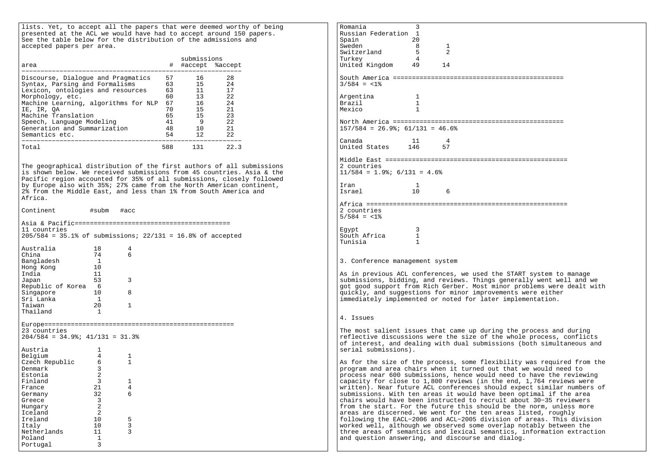lists. Yet, to accept all the papers that were deemed worthy of being presented at the ACL we would have had to accept around 150 papers. See the table below for the distribution of the admissions and accepted papers per area.

| area                                                                                                                                                                                                                                                                                      | #                                                        | submissions<br>#accept %accept                                        |                                                               |
|-------------------------------------------------------------------------------------------------------------------------------------------------------------------------------------------------------------------------------------------------------------------------------------------|----------------------------------------------------------|-----------------------------------------------------------------------|---------------------------------------------------------------|
| Discourse, Dialoque and Pragmatics<br>Syntax, Parsing and Formalisms<br>Lexicon, ontologies and resources<br>Morphology, etc.<br>Machine Learning, algorithms for NLP<br>IE, IR, OA<br>Machine Translation<br>Speech, Language Modeling<br>Generation and Summarization<br>Semantics etc. | 57<br>63<br>63<br>60<br>67<br>70<br>65<br>41<br>48<br>54 | 16<br>15 <sub>1</sub><br>11<br>13<br>16<br>15<br>15<br>9<br>1 O<br>12 | 28<br>2.4<br>17<br>2.2<br>2.4<br>21<br>23<br>2.2<br>21<br>2.2 |
| Total                                                                                                                                                                                                                                                                                     | 588                                                      | 131                                                                   | 22.3                                                          |

The geographical distribution of the first authors of all submissions is shown below. We received submissions from 45 countries. Asia & the Pacific region accounted for 35% of all submissions, closely followed by Europe also with 35%; 27% came from the North American continent, 2% from the Middle East, and less than 1% from South America and Africa.

Continent #subm #accAsia & Pacific=========================================11 countries 205/584 = 35.1% of submissions; 22/131 = 16.8% of acceptedAustralia 18 4 $\epsilon$ China 74 Bangladesh 1 $10$  $H$ ong Kong  $11$ India Japan 53 3Republic of Korea 6Singapore 10 8 Sri Lanka 1 $20$ Taiwan 20 1 Thailand 1 Europe==================================================23 countries 204/584 = 34.9%; 41/131 = 31.3%Austria 1 $\overline{4}$ Belgium 4 1 $\overline{1}$ Czech Republic 6<br>Denmark 3 Denmark <sup>1</sup>  $\overline{2}$ Estonia 2 $\overline{3}$ Finland 3 1  $\overline{4}$ France 21  $6\overline{6}$ Germany 32 Greece 3  $\overline{2}$ Hungary 2 $\overline{2}$ Iceland 2

 $\overline{3}$ 

 $\overline{3}$ 

 $10$ 

 $\mathcal{R}$ 

Ireland 10 5

Italy 10<br>Netherlands 11

Netherlands Poland 1

Portugal 3

Romania 3 Russian Federation 1 $20$ Spain 2002  $\overline{R}$ sueden 8 1  $\overline{2}$  $Switz$ erland 5 Turkey 4 United Kingdom 49 14South America ============================================= $3/584 = <1$ % Argentina 1  $\overline{1}$ Brazil 1 $\overline{1}$  $M \approx i \cap$ North America ============================================= $157/584 = 26.9$ ;  $61/131 = 46.6$ Canada 11 4 57 United States 146 Middle East ================================================2 countries 11/584 = 1.9%; 6/131 = 4.6%Iran 1Israel 10 6 $10$ Africa =====================================================2 countries 5/584 = <1%Egypt 3  $\overline{1}$ South Africa  $\overline{1}$ Tunisia 13. Conference management systemAs in previous ACL conferences, we used the START system to manage submissions, bidding, and reviews. Things generally went well and we got good support from Rich Gerber. Most minor problems were dealt with quickly, and suggestions for minor improvements were either immediately implemented or noted for later implementation.4. IssuesThe most salient issues that came up during the process and during reflective discussions were the size of the whole process, conflicts of interest, and dealing with dual submissions (both simultaneous and serial submissions).As for the size of the process, some flexibility was required from theprogram and area chairs when it turned out that we would need to process near 600 submissions, hence would need to have the reviewing capacity for close to 1,800 reviews (in the end, 1,764 reviews were written). Near future ACL conferences should expect similar numbers ofsubmissions. With ten areas it would have been optimal if the area chairs would have been instructed to recruit about 30−35 reviewers from the start. For the future this should be the norm, unless moreareas are discerned. We went for the ten areas listed, roughly following the EACL−2006 and ACL−2005 division of areas. This divisionworked well, although we observed some overlap notably between the three areas of semantics and lexical semantics, information extractionand question answering, and discourse and dialog.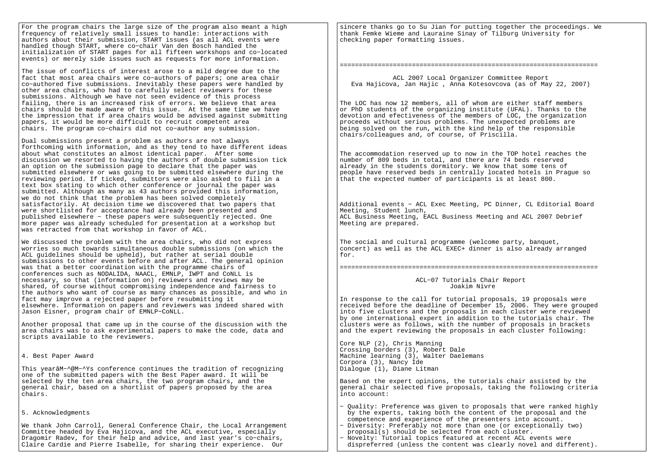For the program chairs the large size of the program also meant a high frequency of relatively small issues to handle: interactions with authors about their submission, START issues (as all ACL events were handled though START, where co−chair Van den Bosch handled the initialization of START pages for all fifteen workshops and co−located events) or merely side issues such as requests for more information.

The issue of conflicts of interest arose to a mild degree due to the fact that most area chairs were co−authors of papers; one area chair co−authored five submissions. Inevitably these papers were handled by other area chairs, who had to carefully select reviewers for these submissions. Although we have not seen evidence of this process failing, there is an increased risk of errors. We believe that area chairs should be made aware of this issue. At the same time we have the impression that if area chairs would be advised against submitting papers, it would be more difficult to recruit competent area chairs. The program co−chairs did not co−author any submission.

Dual submissions present a problem as authors are not always forthcoming with information, and as they tend to have different ideas about what constitutes an almost identical paper. After some discussion we resorted to having the authors of double submission tick an option on the submission page to declare that the paper was submitted elsewhere or was going to be submitted elsewhere during the reviewing period. If ticked, submittors were also asked to fill in a text box stating to which other conference or journal the paper was submitted. Although as many as 43 authors provided this information, we do not think that the problem has been solved completely satisfactorily. At decision time we discovered that two papers that were shortlisted for acceptance had already been presented and published elsewhere − these papers were subsequently rejected. One more paper was already scheduled for presentation at a workshop but was retracted from that workshop in favor of ACL.

We discussed the problem with the area chairs, who did not express worries so much towards simultaneous double submissions (on which the ACL guidelines should be upheld), but rather at serial double submissions to other events before and after ACL. The general opinion was that a better coordination with the programme chairs of conferences such as NODALIDA, NAACL, EMNLP, IWPT and CoNLL is necessary, so that (information on) reviewers and reviews may be shared, of course without compromising independence and fairness to the authors who want of course as many chances as possible, and who in fact may improve a rejected paper before resubmitting it elsewhere. Information on papers and reviewers was indeed shared with Jason Eisner, program chair of EMNLP−CoNLL.

Another proposal that came up in the course of the discussion with the area chairs was to ask experimental papers to make the code, data and scripts available to the reviewers.

4. Best Paper Award

This yearâM−^@M−^Ys conference continues the tradition of recognizingone of the submitted papers with the Best Paper award. It will be selected by the ten area chairs, the two program chairs, and the general chair, based on a shortlist of papers proposed by the areachairs.

# 5. Acknowledgments

We thank John Carroll, General Conference Chair, the Local Arrangement Committee headed by Eva Hajicova, and the ACL executive, especially Dragomir Radev, for their help and advice, and last year's co−chairs, Claire Cardie and Pierre Isabelle, for sharing their experience. Our

sincere thanks go to Su Jian for putting together the proceedings. We thank Femke Wieme and Lauraine Sinay of Tilburg University for checking paper formatting issues.

# ====================================================================

 ACL 2007 Local Organizer Committee ReportEva Hajicova, Jan Hajic , Anna Kotesovcova (as of May 22, 2007)

The LOC has now 12 members, all of whom are either staff members or PhD students of the organizing institute (UFAL). Thanks to the devotion and efectiveness of the members of LOC, the organization proceeds without serious problems. The unexpected problems are being solved on the run, with the kind help of the responsible chairs/colleagues and, of course, of Priscilla.

The accommodation reserved up to now in the TOP hotel reaches the number of 809 beds in total, and there are 74 beds reserved already in the students dormitory. We know that some tens of people have reserved beds in centrally located hotels in Prague so that the expected number of participants is at least 800.

Additional events − ACL Exec Meeting, PC Dinner, CL Editorial Board Meeting, Student lunch, ACL Business Meeting, EACL Business Meeting and ACL 2007 Debrief Meeting are prepared.

The social and cultural programme (welcome party, banquet, concert) as well as the ACL EXEC+ dinner is also already arranged for.

====================================================================

 ACL−07 Tutorials Chair ReportJoakim Nivre

In response to the call for tutorial proposals, 19 proposals were received before the deadline of December 15, 2006. They were grouped into five clusters and the proposals in each cluster were reviewed by one international expert in addition to the tutorials chair. The clusters were as follows, with the number of proposals in brackets and the expert reviewing the proposals in each cluster following:

Core NLP (2), Chris Manning Crossing borders (3), Robert Dale Machine learning (3), Walter Daelemans Corpora (3), Nancy Ide Dialogue (1), Diane Litman

Based on the expert opinions, the tutorials chair assisted by the general chair selected five proposals, taking the following criteria into account:

- − Quality: Preference was given to proposals that were ranked highly by the experts, taking both the content of the proposal and the competence and experience of the presenters into account.
- − Diversity: Preferably not more than one (or exceptionally two) proposal(s) should be selected from each cluster.
- − Novelty: Tutorial topics featured at recent ACL events were dispreferred (unless the content was clearly novel and different).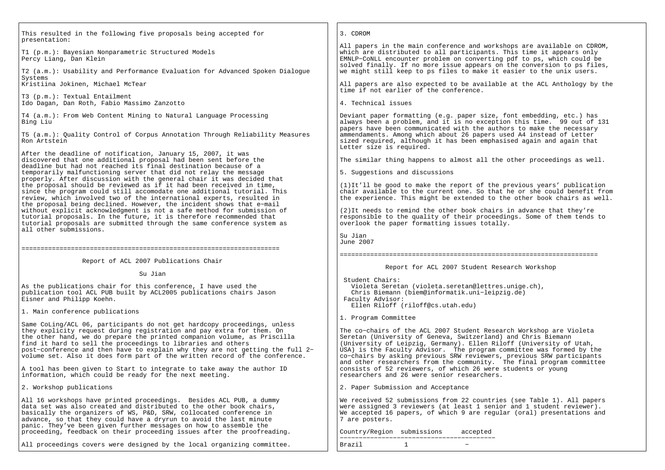| This resulted in the following five proposals being accepted for                                                                                                                                                                                                                                                                                                                                                                                              | 3. CDROM                                                                                                                                                                                                                                                                                                                                                                                                                              |
|---------------------------------------------------------------------------------------------------------------------------------------------------------------------------------------------------------------------------------------------------------------------------------------------------------------------------------------------------------------------------------------------------------------------------------------------------------------|---------------------------------------------------------------------------------------------------------------------------------------------------------------------------------------------------------------------------------------------------------------------------------------------------------------------------------------------------------------------------------------------------------------------------------------|
| presentation:<br>T1 (p.m.): Bayesian Nonparametric Structured Models<br>Percy Liang, Dan Klein<br>T2 (a.m.): Usability and Performance Evaluation for Advanced Spoken Dialogue                                                                                                                                                                                                                                                                                | All papers in the main conference and workshops are available on CDROM,<br>which are distributed to all participants. This time it appears only<br>EMNLP-CONLL encounter problem on converting pdf to ps, which could be<br>solved finally. If no more issue appears on the conversion to ps files,<br>we might still keep to ps files to make it easier to the unix users.                                                           |
| Systems<br>Kristiina Jokinen, Michael McTear                                                                                                                                                                                                                                                                                                                                                                                                                  | All papers are also expected to be available at the ACL Anthology by the<br>time if not earlier of the conference.                                                                                                                                                                                                                                                                                                                    |
| T3 (p.m.): Textual Entailment<br>Ido Dagan, Dan Roth, Fabio Massimo Zanzotto                                                                                                                                                                                                                                                                                                                                                                                  | 4. Technical issues                                                                                                                                                                                                                                                                                                                                                                                                                   |
| T4 (a.m.): From Web Content Mining to Natural Language Processing<br>Bing Liu                                                                                                                                                                                                                                                                                                                                                                                 | Deviant paper formatting (e.g. paper size, font embedding, etc.) has<br>always been a problem, and it is no exception this time. 99 out of 131<br>papers have been communicated with the authors to make the necessary                                                                                                                                                                                                                |
| T5 (a.m.): Ouality Control of Corpus Annotation Through Reliability Measures<br>Ron Artstein                                                                                                                                                                                                                                                                                                                                                                  | ammendaments. Among which about 26 papers used A4 instead of Letter<br>sized required, although it has been emphasised again and again that<br>Letter size is required.                                                                                                                                                                                                                                                               |
| After the deadline of notification, January 15, 2007, it was<br>discovered that one additional proposal had been sent before the<br>deadline but had not reached its final destination because of a                                                                                                                                                                                                                                                           | The similar thing happens to almost all the other proceedings as well.                                                                                                                                                                                                                                                                                                                                                                |
| temporarily malfunctioning server that did not relay the message<br>properly. After discussion with the general chair it was decided that                                                                                                                                                                                                                                                                                                                     | 5. Suggestions and discussions                                                                                                                                                                                                                                                                                                                                                                                                        |
| the proposal should be reviewed as if it had been received in time,<br>since the program could still accomodate one additional tutorial. This<br>review, which involved two of the international experts, resulted in                                                                                                                                                                                                                                         | (1) It'll be good to make the report of the previous years' publication<br>chair available to the current one. So that he or she could benefit from<br>the experience. This might be extended to the other book chairs as well.                                                                                                                                                                                                       |
| the proposal being declined. However, the incident shows that e-mail<br>without explicit acknowledgment is not a safe method for submission of<br>tutorial proposals. In the future, it is therefore recommended that<br>tutorial proposals are submitted through the same conference system as<br>all other submissions.                                                                                                                                     | (2) It needs to remind the other book chairs in advance that they're<br>responsible to the quality of their proceedings. Some of them tends to<br>overlook the paper formatting issues totally.                                                                                                                                                                                                                                       |
|                                                                                                                                                                                                                                                                                                                                                                                                                                                               | Su Jian<br>June 2007                                                                                                                                                                                                                                                                                                                                                                                                                  |
| Report of ACL 2007 Publications Chair                                                                                                                                                                                                                                                                                                                                                                                                                         |                                                                                                                                                                                                                                                                                                                                                                                                                                       |
| Su Jian                                                                                                                                                                                                                                                                                                                                                                                                                                                       | Report for ACL 2007 Student Research Workshop                                                                                                                                                                                                                                                                                                                                                                                         |
| As the publications chair for this conference, I have used the<br>publication tool ACL PUB built by ACL2005 publications chairs Jason<br>Eisner and Philipp Koehn.                                                                                                                                                                                                                                                                                            | Student Chairs:<br>Violeta Seretan (violeta.seretan@lettres.unige.ch),<br>Chris Biemann (biem@informatik.uni-leipzig.de)<br>Faculty Advisor:<br>Ellen Riloff (riloff@cs.utah.edu)                                                                                                                                                                                                                                                     |
| 1. Main conference publications                                                                                                                                                                                                                                                                                                                                                                                                                               | 1. Program Committee                                                                                                                                                                                                                                                                                                                                                                                                                  |
| Same CoLing/ACL 06, participants do not get hardcopy proceedings, unless<br>they explicity request during registration and pay extra for them. On<br>the other hand, we do prepare the printed companion volume, as Priscilla<br>find it hard to sell the proceedings to libraries and others<br>post-conference and then have to explain why they are not getting the full 2-<br>volume set. Also it does form part of the written record of the conference. | The co-chairs of the ACL 2007 Student Research Workshop are Violeta<br>Seretan (University of Geneva, Switzerland) and Chris Biemann<br>(University of Leipzig, Germany). Ellen Riloff (University of Utah,<br>USA) is the Faculty Advisor. The program committee was formed by the<br>co-chairs by asking previous SRW reviewers, previous SRW participants<br>and other researchers from the community. The final program committee |
| A tool has been given to Start to integrate to take away the author ID<br>information, which could be ready for the next meeting.                                                                                                                                                                                                                                                                                                                             | consists of 52 reviewers, of which 26 were students or young<br>researchers and 26 were senior researchers.                                                                                                                                                                                                                                                                                                                           |
| 2. Workshop publications                                                                                                                                                                                                                                                                                                                                                                                                                                      | 2. Paper Submission and Acceptance                                                                                                                                                                                                                                                                                                                                                                                                    |
| All 16 workshops have printed proceedings. Besides ACL PUB, a dummy<br>data set was also created and distributed to the other book chairs,<br>basically the organizers of WS, P&D, SRW, collocated conference in<br>advance, so that they could have a dryrun to avoid the last minute<br>panic. They've been given further messages on how to assemble the                                                                                                   | We received 52 submissions from 22 countries (see Table 1). All papers<br>were assigned 3 reviewers (at least 1 senior and 1 student reviewer).<br>We accepted 16 papers, of which 9 are regular (oral) presentations and<br>7 are posters.                                                                                                                                                                                           |
| proceeding, feedback on their proceeding issues after the proofreading.                                                                                                                                                                                                                                                                                                                                                                                       | Country/Region submissions<br>accepted                                                                                                                                                                                                                                                                                                                                                                                                |
|                                                                                                                                                                                                                                                                                                                                                                                                                                                               |                                                                                                                                                                                                                                                                                                                                                                                                                                       |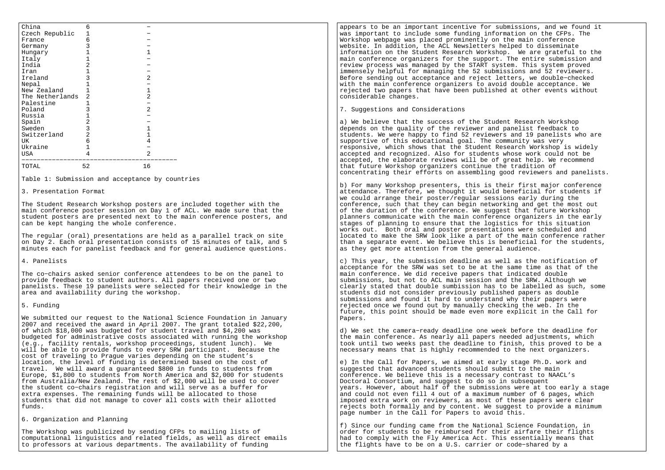| China           | 6              |                |  |
|-----------------|----------------|----------------|--|
| Czech Republic  |                |                |  |
| France          | 6              |                |  |
| Germany         |                |                |  |
| Hungary         |                | 1              |  |
| Italy           |                |                |  |
| India           |                |                |  |
| Iran            |                |                |  |
| Ireland         |                | $\overline{a}$ |  |
| Nepal           |                |                |  |
| New Zealand     |                |                |  |
| The Netherlands | $\overline{2}$ | $\overline{a}$ |  |
| Palestine       |                |                |  |
| Poland          |                | $\overline{a}$ |  |
| Russia          |                |                |  |
| Spain           |                |                |  |
| Sweden          | 3              |                |  |
| Switzerland     | 2              |                |  |
| UK              | 6              | 4              |  |
| Ukraine         |                |                |  |
| USA             | 4              | $\overline{a}$ |  |
| TOTAL           | 52             | 16             |  |
|                 |                |                |  |

Table 1: Submission and acceptance by countries

3. Presentation Format

The Student Research Workshop posters are included together with the main conference poster session on Day 1 of ACL. We made sure that the student posters are presented next to the main conference posters, andcan be kept hanging the whole conference.

The regular (oral) presentations are held as a parallel track on site on Day 2. Each oral presentation consists of 15 minutes of talk, and 5minutes each for panelist feedback and for general audience questions.

4. Panelists

The co−chairs asked senior conference attendees to be on the panel toprovide feedback to student authors. All papers received one or two panelists. These 19 panelists were selected for their knowledge in thearea and availability during the workshop.

5. Funding

We submitted our request to the National Science Foundation in January 2007 and received the award in April 2007. The grant totaled \$22,200,of which \$18,000 was budgeted for student travel and \$4,200 was budgeted for administrative costs associated with running the workshop(e.g., facility rentals, workshop proceedings, student lunch). We will be able to provide funds to every SRW participant. Because thecost of traveling to Prague varies depending on the student's location, the level of funding is determined based on the cost of travel. We will award a guaranteed \$800 in funds to students from Europe, \$1,800 to students from North America and \$2,000 for students from Australia/New Zealand. The rest of \$2,000 will be used to coverthe student co−chairs registration and will serve as a buffer forextra expenses. The remaining funds will be allocated to those students that did not manage to cover all costs with their allottedfunds.

6. Organization and Planning

The Workshop was publicized by sending CFPs to mailing lists of computational linguistics and related fields, as well as direct emailsto professors at various departments. The availability of funding

appears to be an important incentive for submissions, and we found itwas important to include some funding information on the CFPs. TheWorkshop webpage was placed prominently on the main conference website. In addition, the ACL Newsletters helped to disseminate information on the Student Research Workshop. We are grateful to the main conference organizers for the support. The entire submission andreview process was managed by the START system. This system proved immensely helpful for managing the 52 submissions and 52 reviewers. Before sending out acceptance and reject letters, we double−checked with the main conference organizers to avoid double acceptance. We rejected two papers that have been published at other events withoutconsiderable changes.

7. Suggestions and Considerations

a) We believe that the success of the Student Research Workshop depends on the quality of the reviewer and panelist feedback to students. We were happy to find 52 reviewers and 19 panelists who aresupportive of this educational goal. The community was very responsive, which shows that the Student Research Workshop is widelyaccepted and recognized. Also for students whose work could not be accepted, the elaborate reviews will be of great help. We recommendthat future Workshop organizers continue the tradition ofconcentrating their efforts on assembling good reviewers and panelists.

b) For many Workshop presenters, this is their first major conference attendance. Therefore, we thought it would beneficial for students ifwe could arrange their poster/regular sessions early during the conference, such that they can begin networking and get the most outof the duration of the conference. We suggest that future Workshop planners communicate with the main conference organizers in the earlystages of planning to ensure that the logistics for this situation works out. Both oral and poster presentations were scheduled and located to make the SRW look like a part of the main conference rather than a separate event. We believe this is beneficial for the students,as they get more attention from the general audience.

c) This year, the submission deadline as well as the notification of acceptance for the SRW was set to be at the same time as that of themain conference. We did receive papers that indicated double submissions, but not to ACL main session and the SRW. Although we clearly stated that double sumbission has to be labelled as such, somestudents did not consider previously published papers as double submissions and found it hard to understand why their papers wererejected once we found out by manually checking the web. In the future, this point should be made even more explicit in the Call forPapers.

d) We set the camera−ready deadline one week before the deadline for the main conference. As nearly all papers needed adjustments, which took until two weeks past the deadline to finish, this proved to be anecessary means that is highly recommended to the next organizers.

e) In the Call for Papers, we aimed at early stage Ph.D. work andsuggested that advanced students should submit to the main conference. We believe this is a necessary contrast to NAACL'sDoctoral Consortium, and suggest to do so in subsequent years. However, about half of the submissions were at too early a stageand could not even fill 4 out of a maximum number of 6 pages, which imposed extra work on reviewers, as most of these papers were clear rejects both formally and by content. We suggest to provide a minimumpage number in the Call for Papers to avoid this.

f) Since our funding came from the National Science Foundation, in order for students to be reimbursed for their airfare their flights had to comply with the Fly America Act. This essentially means thatthe flights have to be on a U.S. carrier or code−shared by a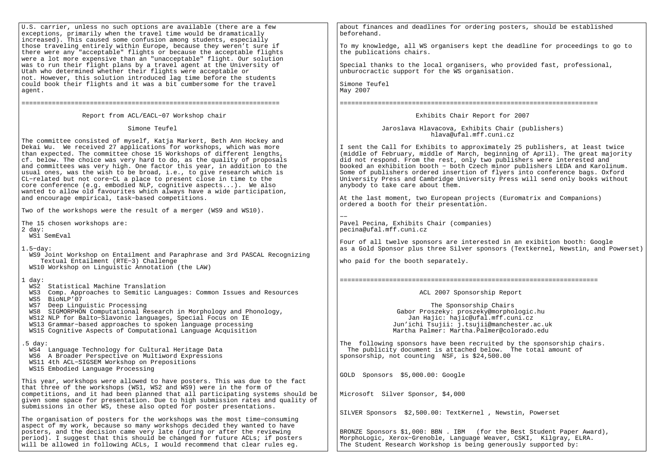| U.S. carrier, unless no such options are available (there are a few<br>exceptions, primarily when the travel time would be dramatically<br>increased). This caused some confusion among students, especially<br>those traveling entirely within Europe, because they weren't sure if<br>there were any "acceptable" flights or because the acceptable flights<br>were a lot more expensive than an "unacceptable" flight. Our solution<br>was to run their flight plans by a travel agent at the University of<br>Utah who determined whether their flights were acceptable or<br>not. However, this solution introduced lag time before the students<br>could book their flights and it was a bit cumbersome for the travel<br>agent. | about finances and deadlines for ordering posters, should be established<br>beforehand.<br>To my knowledge, all WS organisers kept the deadline for proceedings to go to<br>the publications chairs.<br>Special thanks to the local organisers, who provided fast, professional,<br>unburocractic support for the WS organisation.<br>Simone Teufel<br>May 2007                                                                                                                                                                                                                                                                                |
|----------------------------------------------------------------------------------------------------------------------------------------------------------------------------------------------------------------------------------------------------------------------------------------------------------------------------------------------------------------------------------------------------------------------------------------------------------------------------------------------------------------------------------------------------------------------------------------------------------------------------------------------------------------------------------------------------------------------------------------|------------------------------------------------------------------------------------------------------------------------------------------------------------------------------------------------------------------------------------------------------------------------------------------------------------------------------------------------------------------------------------------------------------------------------------------------------------------------------------------------------------------------------------------------------------------------------------------------------------------------------------------------|
|                                                                                                                                                                                                                                                                                                                                                                                                                                                                                                                                                                                                                                                                                                                                        |                                                                                                                                                                                                                                                                                                                                                                                                                                                                                                                                                                                                                                                |
| Report from ACL/EACL-07 Workshop chair                                                                                                                                                                                                                                                                                                                                                                                                                                                                                                                                                                                                                                                                                                 | Exhibits Chair Report for 2007                                                                                                                                                                                                                                                                                                                                                                                                                                                                                                                                                                                                                 |
| Simone Teufel                                                                                                                                                                                                                                                                                                                                                                                                                                                                                                                                                                                                                                                                                                                          | Jaroslava Hlavacova, Exhibits Chair (publishers)<br>hlava@ufal.mff.cuni.cz                                                                                                                                                                                                                                                                                                                                                                                                                                                                                                                                                                     |
| The committee consisted of myself, Katja Markert, Beth Ann Hockey and<br>Dekai Wu. We received 27 applications for workshops, which was more<br>than expected. The committee chose 15 Workshops of different lengths,<br>cf. below. The choice was very hard to do, as the quality of proposals<br>and committees was very high. One factor this year, in addition to the<br>usual ones, was the wish to be broad, i.e., to give research which is<br>CL-related but not core-CL a place to present close in time to the<br>core conference (e.g. embodied NLP, cognitive aspects). We also<br>wanted to allow old favourites which always have a wide participation,<br>and encourage empirical, task-based competitions.             | I sent the Call for Exhibits to approximately 25 publishers, at least twice<br>(middle of February, middle of March, beginning of April). The great majority<br>did not respond. From the rest, only two publishers were interested and<br>booked an exhibition booth - both Czech minor publishers LEDA and Karolinum.<br>Some of publishers ordered insertion of flyers into conference bags. Oxford<br>University Press and Cambridge University Press will send only books without<br>anybody to take care about them.<br>At the last moment, two European projects (Euromatrix and Companions)<br>ordered a booth for their presentation. |
| Two of the workshops were the result of a merger (WS9 and WS10).                                                                                                                                                                                                                                                                                                                                                                                                                                                                                                                                                                                                                                                                       |                                                                                                                                                                                                                                                                                                                                                                                                                                                                                                                                                                                                                                                |
| The 15 chosen workshops are:<br>$2 \text{ day}:$<br>WS1 SemEval                                                                                                                                                                                                                                                                                                                                                                                                                                                                                                                                                                                                                                                                        | Pavel Pecina, Exhibits Chair (companies)<br>pecina@ufal.mff.cuni.cz                                                                                                                                                                                                                                                                                                                                                                                                                                                                                                                                                                            |
| $1.5$ -dav:<br>WS9 Joint Workshop on Entailment and Paraphrase and 3rd PASCAL Recognizing<br>Textual Entailment (RTE-3) Challenge<br>WS10 Workshop on Linguistic Annotation (the LAW)                                                                                                                                                                                                                                                                                                                                                                                                                                                                                                                                                  | Four of all twelve sponsors are interested in an exibition booth: Google<br>as a Gold Sponsor plus three Silver sponsors (Textkernel, Newstin, and Powerset)<br>who paid for the booth separately.                                                                                                                                                                                                                                                                                                                                                                                                                                             |
| 1 day:<br>WS2 Statistical Machine Translation<br>WS3 Comp. Approaches to Semitic Languages: Common Issues and Resources<br>WS5 BioNLP'07<br>Deep Linguistic Processing<br>WS7<br>WS8 SIGMORPHON Computational Research in Morphology and Phonology,<br>WS12 NLP for Balto-Slavonic languages, Special Focus on IE<br>WS13 Grammar-based approaches to spoken language processing<br>WS15 Cognitive Aspects of Computational Language Acquisition                                                                                                                                                                                                                                                                                       | ACL 2007 Sponsorship Report<br>The Sponsorship Chairs<br>Gabor Proszeky: proszeky@morphologic.hu<br>Jan Hajic: hajic@ufal.mff.cuni.cz<br>Jun'ichi Tsujii: j.tsujii@manchester.ac.uk<br>Martha Palmer: Martha.Palmer@colorado.edu                                                                                                                                                                                                                                                                                                                                                                                                               |
| .5 day:<br>WS4 Language Technology for Cultural Heritage Data<br>WS6 A Broader Perspective on Multiword Expressions<br>WS11 4th ACL-SIGSEM Workshop on Prepositions<br>WS15 Embodied Language Processing                                                                                                                                                                                                                                                                                                                                                                                                                                                                                                                               | The following sponsors have been recruited by the sponsorship chairs.<br>The publicity document is attached below. The total amount of<br>sponsorship, not counting NSF, is \$24,500.00                                                                                                                                                                                                                                                                                                                                                                                                                                                        |
| This year, workshops were allowed to have posters. This was due to the fact<br>that three of the workshops (WS1, WS2 and WS9) were in the form of<br>competitions, and it had been planned that all participating systems should be<br>given some space for presentation. Due to high submission rates and quality of<br>submissions in other WS, these also opted for poster presentations.                                                                                                                                                                                                                                                                                                                                           | GOLD Sponsors \$5,000.00: Google<br>Microsoft Silver Sponsor, \$4,000                                                                                                                                                                                                                                                                                                                                                                                                                                                                                                                                                                          |
| The organisation of posters for the workshops was the most time-consuming<br>aspect of my work, because so many workshops decided they wanted to have<br>posters, and the decision came very late (during or after the reviewing<br>period). I suggest that this should be changed for future ACLs; if posters<br>will be allowed in following ACLs, I would recommend that clear rules eq.                                                                                                                                                                                                                                                                                                                                            | SILVER Sponsors \$2,500.00: TextKernel, Newstin, Powerset<br>BRONZE Sponsors \$1,000: BBN . IBM (for the Best Student Paper Award),<br>MorphoLogic, Xerox-Grenoble, Language Weaver, CSKI, Kilgray, ELRA.<br>The Student Research Workshop is being generously supported by:                                                                                                                                                                                                                                                                                                                                                                   |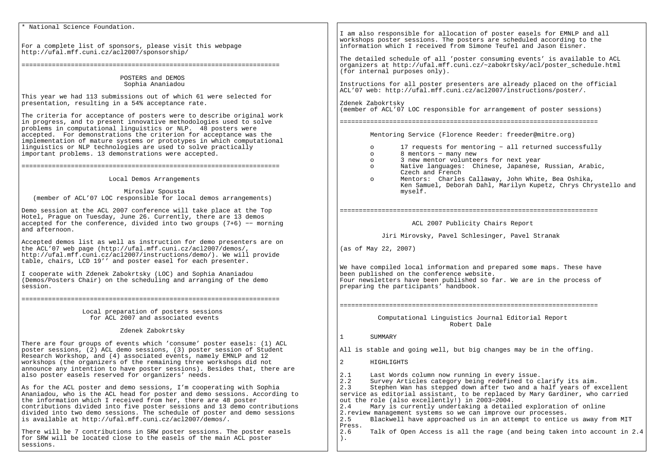\* National Science Foundation.For a complete list of sponsors, please visit this webpage http://ufal.mff.cuni.cz/acl2007/sponsorship/==================================================================== POSTERS and DEMOS Sophia AnaniadouThis year we had 113 submissions out of which 61 were selected forpresentation, resulting in a 54% acceptance rate.The criteria for acceptance of posters were to describe original workin progress, and to present innovative methodologies used to solveproblems in computational linguistics or NLP. 48 posters were accepted. For demonstrations the criterion for acceptance was the implementation of mature systems or prototypes in which computationallinguistics or NLP technologies are used to solve practicallyimportant problems. 13 demonstrations were accepted.==================================================================== Local Demos Arrangements Miroslav Spousta (member of ACL'07 LOC responsible for local demos arrangements)Demo session at the ACL 2007 conference will take place at the Top Hotel, Prague on Tuesday, June 26. Currently, there are 13 demos accepted for the conference, divided into two groups (7+6) −− morning and afternoon.Accepted demos list as well as instruction for demo presenters are on the ACL'07 web page (http://ufal.mff.cuni.cz/acl2007/demos/, http://ufal.mff.cuni.cz/acl2007/instructions/demo/). We will provide table, chairs, LCD 19'' and poster easel for each presenter. I cooperate with Zdenek Zabokrtsky (LOC) and Sophia Ananiadou (Demos/Posters Chair) on the scheduling and arranging of the demo session. ====================================================================Local preparation of posters sessions for ACL 2007 and associated events Zdenek ZabokrtskyThere are four groups of events which 'consume' poster easels: (1) ACL poster sessions, (2) ACL demo sessions, (3) poster session of Student Research Workshop, and (4) associated events, namely EMNLP and 12 workshops (the organizers of the remaining three workshops did not announce any intention to have poster sessions). Besides that, there are also poster easels reserved for organizers' needs.As for the ACL poster and demo sessions, I'm cooperating with Sophia Ananiadou, who is the ACL head for poster and demo sessions. According to the information which I received from her, there are 48 poster contributions divided into five poster sessions and 13 demo contributions divided into two demo sessions. The schedule of poster and demo sessions is available at http://ufal.mff.cuni.cz/acl2007/demos/.There will be 7 contributions in SRW poster sessions. The poster easels for SRW will be located close to the easels of the main ACL poster sessions.I am also responsible for allocation of poster easels for EMNLP and all workshops poster sessions. The posters are scheduled according to the information which I received from Simone Teufel and Jason Eisner.The detailed schedule of all 'poster consuming events' is available to ACL organizers at http://ufal.mff.cuni.cz/~zabokrtsky/acl/poster\_schedule.html (for internal purposes only).Instructions for all poster presenters are already placed on the official ACL'07 web: http://ufal.mff.cuni.cz/acl2007/instructions/poster/.Zdenek Zabokrtsky (member of ACL'07 LOC responsible for arrangement of poster sessions)====================================================================Mentoring Service (Florence Reeder: freeder@mitre.org) o 17 requests for mentoring − all returned successfully o 8 mentors − many new o 3 new mentor volunteers for next year o Native languages: Chinese, Japanese, Russian, Arabic,Czech and French o Mentors: Charles Callaway, John White, Bea Oshika, Ken Samuel, Deborah Dahl, Marilyn Kupetz, Chrys Chrystello andmyself.==================================================================== ACL 2007 Publicity Chairs Report Jiri Mirovsky, Pavel Schlesinger, Pavel Stranak(as of May 22, 2007)We have compiled local information and prepared some maps. These have been published on the conference website. Four newsletters have been published so far. We are in the process of preparing the participants' handbook.==================================================================== Computational Linguistics Journal Editorial Report Robert Dale1 SUMMARYAll is stable and going well, but big changes may be in the offing.2 HIGHLIGHTS2.1 Last Words column now running in every issue.<br>2.2 Survey Articles category being redefined to c 2.2 Survey Articles category being redefined to clarify its aim. 2.3 Stephen Wan has stepped down after two and a half years of excellent service as editorial assistant, to be replaced by Mary Gardiner, who carriedout the role (also excellently!) in 2003−2004. 2.4 Mary is currently undertaking a detailed exploration of online2.review management systems so we can improve our processes. 2.5 Blackwell have approached us in an attempt to entice us away from MIT Press.2.6 Talk of Open Access is all the rage (and being taken into account in 2.4).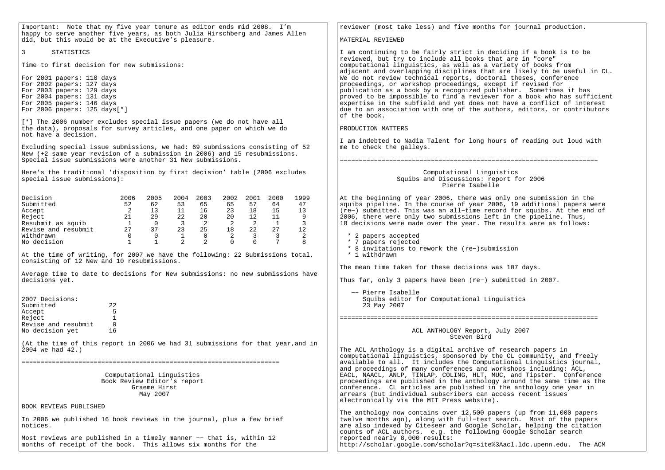| Important: Note that my five year tenure as editor ends mid 2008. I'm<br>happy to serve another five years, as both Julia Hirschberg and James Allen                                                       | reviewer (most take less) and five months for journal production.                                                                                                                                                                             |  |
|------------------------------------------------------------------------------------------------------------------------------------------------------------------------------------------------------------|-----------------------------------------------------------------------------------------------------------------------------------------------------------------------------------------------------------------------------------------------|--|
| did, but this would be at the Executive's pleasure.                                                                                                                                                        | MATERIAL REVIEWED                                                                                                                                                                                                                             |  |
| 3<br>STATISTICS                                                                                                                                                                                            | I am continuing to be fairly strict in deciding if a book is to be                                                                                                                                                                            |  |
| Time to first decision for new submissions:                                                                                                                                                                | reviewed, but try to include all books that are in "core"<br>computational linguistics, as well as a variety of books from<br>adjacent and overlapping disciplines that are likely to be useful in CL.                                        |  |
| For 2001 papers: 110 days<br>For 2002 papers: 127 days                                                                                                                                                     | We do not review technical reports, doctoral theses, conference<br>proceedings, or workshop proceedings, except if revised for                                                                                                                |  |
| For 2003 papers: 129 days                                                                                                                                                                                  | publication as a book by a recognized publisher. Sometimes it has                                                                                                                                                                             |  |
| For 2004 papers: 131 days<br>For 2005 papers: 146 days<br>For 2006 papers: 125 days[*]                                                                                                                     | proved to be impossible to find a reviewer for a book who has sufficient<br>expertise in the subfield and yet does not have a conflict of interest<br>due to an association with one of the authors, editors, or contributors<br>of the book. |  |
| [*] The 2006 number excludes special issue papers (we do not have all<br>the data), proposals for survey articles, and one paper on which we do<br>not have a decision.                                    | PRODUCTION MATTERS                                                                                                                                                                                                                            |  |
|                                                                                                                                                                                                            | I am indebted to Nadia Talent for long hours of reading out loud with                                                                                                                                                                         |  |
| Excluding special issue submissions, we had: 69 submissions consisting of 52<br>New (+2 same year revision of a submission in 2006) and 15 resubmissions.                                                  | me to check the galleys.                                                                                                                                                                                                                      |  |
| Special issue submissions were another 31 New submissions.                                                                                                                                                 |                                                                                                                                                                                                                                               |  |
| Here's the traditional 'disposition by first decision' table (2006 excludes<br>special issue submissions):                                                                                                 | Computational Linguistics<br>Squibs and Discussions: report for 2006<br>Pierre Isabelle                                                                                                                                                       |  |
| Decision<br>2006<br>2005<br>2004<br>2003<br>2002 2001<br>2000<br>1999                                                                                                                                      | At the beginning of year 2006, there was only one submission in the                                                                                                                                                                           |  |
| Submitted<br>47<br>52<br>62<br>53<br>65<br>65<br>57<br>64<br>$\overline{2}$<br>11<br>23<br>18<br>13<br>13<br>16<br>15                                                                                      | squibs pipeline. In the course of year 2006, 19 additional papers were                                                                                                                                                                        |  |
| Accept<br>22<br>20<br>9<br>21<br>29<br>20<br>12<br>11<br>Reject                                                                                                                                            | (re-) submitted. This was an all-time record for squibs. At the end of<br>2006, there were only two submissions left in the pipeline. Thus,                                                                                                   |  |
| $\overline{0}$<br>$\overline{\mathbf{3}}$<br>$\overline{\phantom{a}}^2$<br>$\overline{\phantom{a}}$<br>$\overline{3}$<br>Resubmit as squib<br>$\overline{1}$<br>$\overline{2}$<br>$\overline{1}$           | 18 decisions were made over the year. The results were as follows:                                                                                                                                                                            |  |
| Revise and resubmit<br>27<br>37<br>23<br>25<br>18<br>22<br>27<br>12<br>2<br>Withdrawn<br>$\overline{0}$<br><sup>1</sup><br>$\mathbf 0$<br>$\overline{3}$<br>$\overline{\mathbf{3}}$<br>2<br>$\overline{0}$ | * 2 papers accepted                                                                                                                                                                                                                           |  |
| $7\phantom{.0}$<br>$\mathbf{1}$<br>$\mathbf{1}$<br>$\overline{2}$<br>2<br>$\Omega$<br>No decision<br>$\Omega$<br>8                                                                                         | * 7 papers rejected                                                                                                                                                                                                                           |  |
|                                                                                                                                                                                                            | * 8 invitations to rework the (re-)submission<br>* 1 withdrawn                                                                                                                                                                                |  |
| At the time of writing, for 2007 we have the following: 22 Submissions total,<br>consisting of 12 New and 10 resubmissions.                                                                                |                                                                                                                                                                                                                                               |  |
|                                                                                                                                                                                                            | The mean time taken for these decisions was 107 days.                                                                                                                                                                                         |  |
| Average time to date to decisions for New submissions: no new submissions have<br>decisions yet.                                                                                                           | Thus far, only 3 papers have been (re-) submitted in 2007.                                                                                                                                                                                    |  |
|                                                                                                                                                                                                            | -- Pierre Isabelle                                                                                                                                                                                                                            |  |
| 2007 Decisions:<br>Submitted<br>22<br>- 5<br>Accept                                                                                                                                                        | Squibs editor for Computational Linguistics<br>23 May 2007                                                                                                                                                                                    |  |
| Reject<br>1<br>Revise and resubmit<br>$\overline{0}$                                                                                                                                                       |                                                                                                                                                                                                                                               |  |
| No decision yet<br>16                                                                                                                                                                                      | ACL ANTHOLOGY Report, July 2007<br>Steven Bird                                                                                                                                                                                                |  |
| (At the time of this report in 2006 we had 31 submissions for that year, and in<br>2004 we had 42.)                                                                                                        | The ACL Anthology is a digital archive of research papers in                                                                                                                                                                                  |  |
|                                                                                                                                                                                                            | computational linguistics, sponsored by the CL community, and freely<br>available to all. It includes the Computational Linguistics journal,                                                                                                  |  |
| Computational Linguistics                                                                                                                                                                                  | and proceedings of many conferences and workshops including: ACL,<br>EACL, NAACL, ANLP, TINLAP, COLING, HLT, MUC, and Tipster. Conference                                                                                                     |  |
| Book Review Editor's report                                                                                                                                                                                | proceedings are published in the anthology around the same time as the                                                                                                                                                                        |  |
| Graeme Hirst<br>May 2007                                                                                                                                                                                   | conference. CL articles are published in the anthology one year in<br>arrears (but individual subscribers can access recent issues                                                                                                            |  |
| BOOK REVIEWS PUBLISHED                                                                                                                                                                                     | electronically via the MIT Press website).                                                                                                                                                                                                    |  |
| In 2006 we published 16 book reviews in the journal, plus a few brief<br>notices.                                                                                                                          | The anthology now contains over 12,500 papers (up from 11,000 papers<br>twelve months ago), along with full-text search. Most of the papers<br>are also indexed by Citeseer and Google Scholar, helping the citation                          |  |
|                                                                                                                                                                                                            | counts of ACL authors. e.g. the following Google Scholar search                                                                                                                                                                               |  |
| Most reviews are published in a timely manner -- that is, within 12<br>months of receipt of the book. This allows six months for the                                                                       | reported nearly 8,000 results:<br>http://scholar.google.com/scholar?q=site%3Aacl.ldc.upenn.edu. The ACM                                                                                                                                       |  |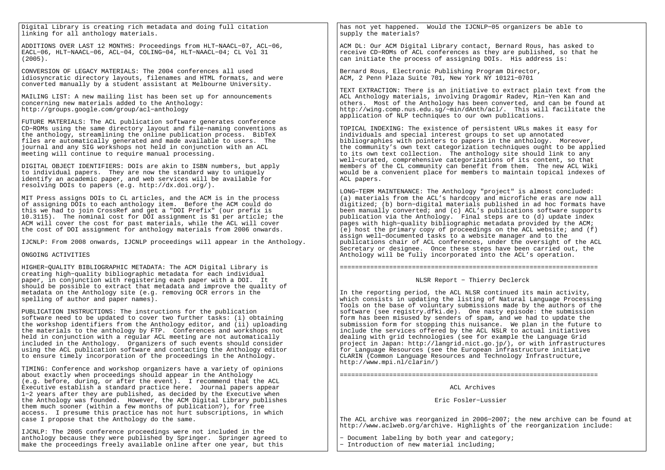Digital Library is creating rich metadata and doing full citationlinking for all anthology materials.

ADDITIONS OVER LAST 12 MONTHS: Proceedings from HLT−NAACL−07, ACL−06,EACL−06, HLT−NAACL−06, ACL−04, COLING−04, HLT−NAACL−04; CL Vol 31(2005).

CONVERSION OF LEGACY MATERIALS: The 2004 conferences all used idiosyncratic directory layouts, filenames and HTML formats, and wereconverted manually by a student assistant at Melbourne University.

MAILING LIST: A new mailing list has been set up for announcementsconcerning new materials added to the Anthology:http://groups.google.com/group/acl−anthology

FUTURE MATERIALS: The ACL publication software generates conference CD−ROMs using the same directory layout and file−naming conventions asthe anthology, streamlining the online publication process. BibTeX files are automatically generated and made available to users. Thejournal and any SIG workshops not held in conjunction with an ACLmeeting will continue to require manual processing.

DIGITAL OBJECT IDENTIFIERS: DOIs are akin to ISBN numbers, but applyto individual papers. They are now the standard way to uniquely identify an academic paper, and web services will be available forresolving DOIs to papers (e.g. http://dx.doi.org/).

MIT Press assigns DOIs to CL articles, and the ACM is in the processof assigning DOIs to each anthology item. Before the ACM could do this we had to join CrossRef and get a "DOI Prefix" (our prefix is 10.3115). The nominal cost for DOI assignment is \$1 per article; the ACM will cover the cost for past materials, while the ACL will coverthe cost of DOI assignment for anthology materials from 2006 onwards.

IJCNLP: From 2008 onwards, IJCNLP proceedings will appear in the Anthology.

### ONGOING ACTIVITIES

HIGHER−QUALITY BIBLIOGRAPHIC METADATA: The ACM Digital Library is creating high−quality bibliographic metadata for each individual paper, in conjunction with registering each paper with a DOI. It should be possible to extract that metadata and improve the quality of metadata on the Anthology site (e.g. removing OCR errors in the spelling of author and paper names).

PUBLICATION INSTRUCTIONS: The instructions for the publication software need to be updated to cover two further tasks: (i) obtaining the workshop identifiers from the Anthology editor, and (ii) uploading the materials to the anthology by FTP. Conferences and workshops not held in conjunction with a regular ACL meeting are not automatically included in the Anthology. Organizers of such events should consider using the ACL publication software and contacting the Anthology editorto ensure timely incorporation of the proceedings in the Anthology.

TIMING: Conference and workshop organizers have a variety of opinions about exactly when proceedings should appear in the Anthology (e.g. before, during, or after the event). I recommend that the ACL Executive establish a standard practice here. Journal papers appear 1−2 years after they are published, as decided by the Executive when the Anthology was founded. However, the ACM Digital Library publishes them much sooner (within a few months of publication?), for free access. I presume this practice has not hurt subscriptions, in which case I propose that the Anthology do the same.

IJCNLP: The 2005 conference proceedings were not included in the anthology because they were published by Springer. Springer agreed to make the proceedings freely available online after one year, but this

has not yet happened. Would the IJCNLP−05 organizers be able to supply the materials?

ACM DL: Our ACM Digital Library contact, Bernard Rous, has asked to receive CD−ROMs of ACL conferences as they are published, so that he can initiate the process of assigning DOIs. His address is:

Bernard Rous, Electronic Publishing Program Director,ACM, 2 Penn Plaza Suite 701, New York NY 10121−0701

TEXT EXTRACTION: There is an initiative to extract plain text from the ACL Anthology materials, involving Dragomir Radev, Min−Yen Kan and others. Most of the Anthology has been converted, and can be found at http://wing.comp.nus.edu.sg/~min/dAnth/acl/. This will facilitate the application of NLP techniques to our own publications.

TOPICAL INDEXING: The existence of persistent URLs makes it easy for individuals and special interest groups to set up annotated bibliographies with pointers to papers in the anthology. Moreover, the community's own text categorization techniques ought to be applied to its own text collection. The anthology site should link to any well−curated, comprehensive categorizations of its content, so that members of the CL community can benefit from them. The new ACL Wiki would be a convenient place for members to maintain topical indexes of ACL papers.

LONG−TERM MAINTENANCE: The Anthology "project" is almost concluded: (a) materials from the ACL's hardcopy and microfiche eras are now all digitized; (b) born−digital materials published in ad hoc formats have been manually converted; and (c) ACL's publications software supports publication via the Anthology. Final steps are to (d) update index pages with high−quality bibliographic metadata provided by the ACM; (e) host the primary copy of proceedings on the ACL website; and (f) assign well−documented tasks to a website manager and to the publications chair of ACL conferences, under the oversight of the ACL Secretary or designee. Once these steps have been carried out, the Anthology will be fully incorporated into the ACL's operation.

====================================================================

NLSR Report − Thierry Declerck

In the reporting period, the ACL NLSR continued its main activity, which consists in updating the listing of Natural Language Processing Tools on the base of voluntary submissions made by the authors of thesoftware (see registry.dfki.de). One nasty episode: the submission form has been misused by senders of spam, and we had to update the submission form for stopping this nuisance. We plan in the future toinclude the services offered by the ACL NSLR to actual initiatives dealing with grid technologies (see for example the Language Grid project in Japan: http://langrid.nict.go.jp/), or with infrastructuresfor Language Resources (see the European infrastructure initiativeCLARIN (Common Language Resources and Technology Infrastructure,http://www.mpi.nl/clarin/)

ACL Archives

Eric Fosler−Lussier

====================================================================

The ACL archive was reorganized in 2006−2007; the new archive can be found at http://www.aclweb.org/archive. Highlights of the reorganization include:

− Document labeling by both year and category;− Introduction of new material including;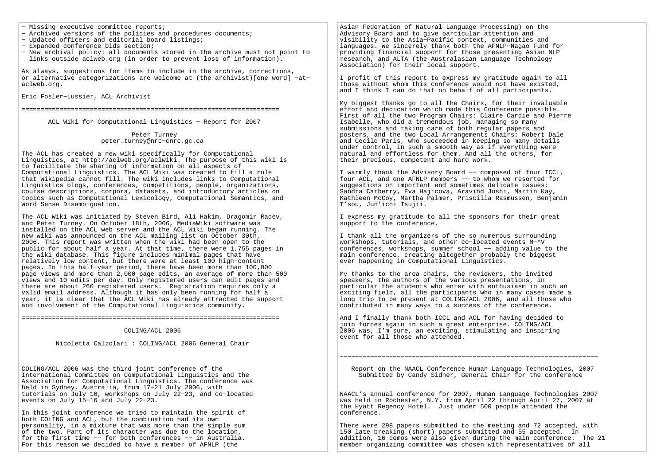− Missing executive committee reports;

- − Archived versions of the policies and procedures documents;
- − Updated officers and editorial board listings;
- − Expanded conference bids section;
- − New archival policy: all documents stored in the archive must not point to links outside aclweb.org (in order to prevent loss of information).

As always, suggestions for items to include in the archive, corrections, or alternative categorizations are welcome at (the archivist)[one word] −at− aclweb.org.

Eric Fosler−Lussier, ACL Archivist

====================================================================

ACL Wiki for Computational Linguistics − Report for 2007

 Peter Turneypeter.turney@nrc−cnrc.gc.ca

The ACL has created a new wiki specifically for Computational Linguistics, at http://aclweb.org/aclwiki. The purpose of this wiki isto facilitate the sharing of information on all aspects of Computational Linguistics. The ACL Wiki was created to fill a role that Wikipedia cannot fill. The wiki includes links to Computational Linguistics blogs, conferences, competitions, people, organizations, course descriptions, corpora, datasets, and introductory articles on topics such as Computational Lexicology, Computational Semantics, andWord Sense Disambiguation.

The ACL Wiki was initiated by Steven Bird, Ali Hakim, Dragomir Radev,and Peter Turney. On October 18th, 2006, MediaWiki software was installed on the ACL web server and the ACL Wiki began running. Thenew wiki was announced on the ACL mailing list on October 30th, 2006. This report was written when the wiki had been open to the public for about half a year. At that time, there were 1,755 pages inthe wiki database. This figure includes minimal pages that have relatively low content, but there were at least 100 high−content pages. In this half−year period, there have been more than 100,000 page views and more than 2,000 page edits, an average of more than 500views and 10 edits per day. Only registered users can edit pages and there are about 260 registered users. Registration requires only avalid email address. Although it has only been running for half a year, it is clear that the ACL Wiki has already attracted the supportand involvement of the Computational Linguistics community.

====================================================================

#### COLING/ACL 2006

#### Nicoletta Calzolari : COLING/ACL 2006 General Chair

COLING/ACL 2006 was the third joint conference of the International Committee on Computational Linguistics and the Association for Computational Linguistics. The conference washeld in Sydney, Australia, from 17−21 July 2006, with tutorials on July 16, workshops on July 22−23, and co−locatedevents on July 15−16 and July 22−23.

In this joint conference we tried to maintain the spirit ofboth COLING and ACL, but the combination had its own personality, in a mixture that was more than the simple sum of the two. Part of its character was due to the location, for the first time −− for both conferences −− in Australia.For this reason we decided to have a member of AFNLP (the

Asian Federation of Natural Language Processing) on theAdvisory Board and to give particular attention and visibility to the Asia−Pacific context, communities and languages. We sincerely thank both the AFNLP−Nagao Fund for providing financial support for those presenting Asian NLPresearch, and ALTA (the Australasian Language TechnologyAssociation) for their local support.

I profit of this report to express my gratitude again to allthose without whom this conference would not have existed,and I think I can do that on behalf of all participants.

My biggest thanks go to all the Chairs, for their invaluableeffort and dedication which made this Conference possible. First of all the two Program Chairs: Claire Cardie and PierreIsabelle, who did a tremendous job, managing so many submissions and taking care of both regular papers and posters, and the two Local Arrangements Chairs: Robert Dale and Cecile Paris, who succeeded in keeping so many details under control, in such a smooth way as if everything were natural and effortless for them. And all the others, fortheir precious, competent and hard work.

I warmly thank the Advisory Board −− composed of four ICCL, four ACL, and one AFNLP members −− to whom we resorted forsuggestions on important and sometimes delicate issues: Sandra Carberry, Eva Hajicova, Aravind Joshi, Martin Kay, Kathleen McCoy, Martha Palmer, Priscilla Rasmussen, BenjaminT'sou, Jun'ichi Tsujii.

I express my gratitude to all the sponsors for their greatsupport to the conference.

I thank all the organizers of the so numerous surroundingworkshops, tutorials, and other co−located events M−^V conferences, workshops, summer school −− adding value to themain conference, creating altogether probably the biggestever happening in Computational Linguistics.

My thanks to the area chairs, the reviewers, the invitedspeakers, the authors of the various presentations, in particular the students who enter with enthusiasm in such an exciting field, all the participants who in many cases made a long trip to be present at COLING/ACL 2006, and all those whocontributed in many ways to a success of the conference.

And I finally thank both ICCL and ACL for having decided to join forces again in such a great enterprise. COLING/ACL 2006 was, I'm sure, an exciting, stimulating and inspiringevent for all those who attended.

====================================================================

 Report on the NAACL Conference Human Language Technologies, 2007Submitted by Candy Sidner, General Chair for the conference

NAACL's annual conference for 2007, Human Language Technologies 2007 was held in Rochester, N.Y. from April 22 through April 27, 2007 atthe Hyatt Regency Hotel. Just under 500 people attended theconference.

There were 298 papers submitted to the meeting and 72 accepted, with150 late breaking (short) papers submitted and 55 accepted. In addition, 16 demos were also given during the main conference. The 21member organizing committee was chosen with representatives of all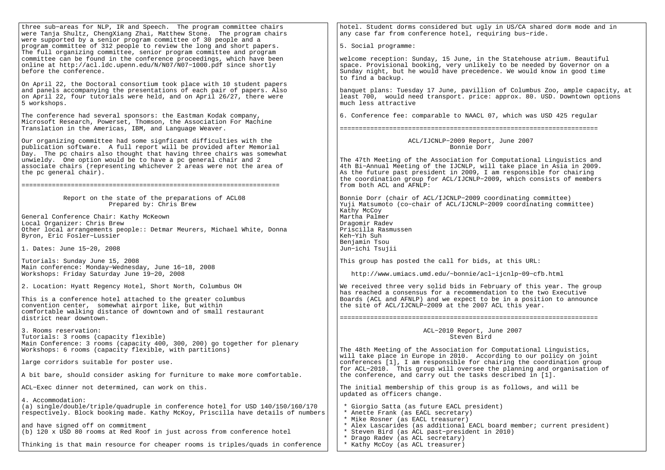| three sub-areas for NLP, IR and Speech. The program committee chairs<br>were Tanja Shultz, ChengXiang Zhai, Matthew Stone. The program chairs                                                                                              | hotel. Student dorms considered but ugly in US/CA shared dorm mode and in<br>any case far from conference hotel, requiring bus-ride.                                                                                                                                                                                       |  |
|--------------------------------------------------------------------------------------------------------------------------------------------------------------------------------------------------------------------------------------------|----------------------------------------------------------------------------------------------------------------------------------------------------------------------------------------------------------------------------------------------------------------------------------------------------------------------------|--|
| were supported by a senior program committee of 30 people and a<br>program committee of 312 people to review the long and short papers.<br>The full organizing committee, senior program committee and program                             | 5. Social programme:                                                                                                                                                                                                                                                                                                       |  |
| committee can be found in the conference proceedings, which have been<br>online at http://acl.ldc.upenn.edu/N/N07/N07-1000.pdf since shortly<br>before the conference.                                                                     | welcome reception: Sunday, 15 June, in the Statehouse atrium. Beautiful<br>space. Provisional booking, very unlikely to be needed by Governor on a<br>Sunday night, but he would have precedence. We would know in good time<br>to find a backup.                                                                          |  |
| On April 22, the Doctoral consortium took place with 10 student papers<br>and panels accompanying the presentations of each pair of papers. Also<br>on April 22, four tutorials were held, and on April 26/27, there were<br>5 workshops.  | banquet plans: Tuesday 17 June, pavillion of Columbus Zoo, ample capacity, at<br>least 700, would need transport. price: approx. 80. USD. Downtown options<br>much less attractive                                                                                                                                         |  |
| The conference had several sponsors: the Eastman Kodak company,<br>Microsoft Research, Powerset, Thomson, the Association For Machine<br>Translation in the Americas, IBM, and Language Weaver.                                            | 6. Conference fee: comparable to NAACL 07, which was USD 425 regular                                                                                                                                                                                                                                                       |  |
| Our organizing committee had some signficant difficulties with the<br>publication software. A full report will be provided after Memorial                                                                                                  | ACL/IJCNLP-2009 Report, June 2007<br>Bonnie Dorr                                                                                                                                                                                                                                                                           |  |
| Day. The pc chairs also thought that having three chairs was somewhat<br>unwieldy. One option would be to have a pc general chair and 2<br>associate chairs (representing whichever 2 areas were not the area of<br>the pc general chair). | The 47th Meeting of the Association for Computational Linguistics and<br>4th Bi-Annual Meeting of the IJCNLP, will take place in Asia in 2009.<br>As the future past president in 2009, I am responsible for chairing<br>the coordination group for ACL/IJCNLP-2009, which consists of members<br>from both ACL and AFNLP: |  |
| Report on the state of the preparations of ACL08<br>Prepared by: Chris Brew                                                                                                                                                                | Bonnie Dorr (chair of ACL/IJCNLP-2009 coordinating committee)<br>Yuji Matsumoto (co-chair of ACL/IJCNLP-2009 coordinating committee)                                                                                                                                                                                       |  |
| General Conference Chair: Kathy McKeown                                                                                                                                                                                                    | Kathy McCoy<br>Martha Palmer                                                                                                                                                                                                                                                                                               |  |
| Local Organizer: Chris Brew                                                                                                                                                                                                                | Dragomir Radev                                                                                                                                                                                                                                                                                                             |  |
| Other local arrangements people:: Detmar Meurers, Michael White, Donna<br>Byron, Eric Fosler-Lussier                                                                                                                                       | Priscilla Rasmussen<br>Keh-Yih Suh                                                                                                                                                                                                                                                                                         |  |
| 1. Dates: June 15-20, 2008                                                                                                                                                                                                                 | Benjamin Tsou<br>Jun-ichi Tsujii                                                                                                                                                                                                                                                                                           |  |
| Tutorials: Sunday June 15, 2008<br>Main conference: Monday-Wednesday, June 16-18, 2008                                                                                                                                                     | This group has posted the call for bids, at this URL:                                                                                                                                                                                                                                                                      |  |
| Workshops: Friday Saturday June 19-20, 2008                                                                                                                                                                                                | http://www.umiacs.umd.edu/~bonnie/acl-ijcnlp-09-cfb.html                                                                                                                                                                                                                                                                   |  |
| 2. Location: Hyatt Regency Hotel, Short North, Columbus OH                                                                                                                                                                                 | We received three very solid bids in February of this year. The group<br>has reached a consensus for a recommendation to the two Executive                                                                                                                                                                                 |  |
| This is a conference hotel attached to the greater columbus<br>convention center, somewhat airport like, but within                                                                                                                        | Boards (ACL and AFNLP) and we expect to be in a position to announce<br>the site of ACL/IJCNLP-2009 at the 2007 ACL this year.                                                                                                                                                                                             |  |
| comfortable walking distance of downtown and of small restaurant<br>district near downtown.                                                                                                                                                |                                                                                                                                                                                                                                                                                                                            |  |
| 3. Rooms reservation:<br>Tutorials: 3 rooms (capacity flexible)                                                                                                                                                                            | ACL-2010 Report, June 2007<br>Steven Bird                                                                                                                                                                                                                                                                                  |  |
| Main Conference: 3 rooms (capacity 400, 300, 200) go together for plenary<br>Workshops: 6 rooms (capacity flexible, with partitions)                                                                                                       | The 48th Meeting of the Association for Computational Linguistics,                                                                                                                                                                                                                                                         |  |
| large corridors suitable for poster use.                                                                                                                                                                                                   | will take place in Europe in 2010. According to our policy on joint<br>conferences [1], I am responsible for chairing the coordination group                                                                                                                                                                               |  |
| A bit bare, should consider asking for furniture to make more comfortable                                                                                                                                                                  | for ACL-2010. This group will oversee the planning and organisation of<br>the conference, and carry out the tasks described in [1].                                                                                                                                                                                        |  |
| ACL-Exec dinner not determined, can work on this.                                                                                                                                                                                          | The initial membership of this group is as follows, and will be<br>updated as officers change.                                                                                                                                                                                                                             |  |
| 4. Accommodation:<br>(a) single/double/triple/quadruple in conference hotel for USD 140/150/160/170<br>respectively. Block booking made. Kathy McKoy, Priscilla have details of numbers                                                    | * Giorgio Satta (as future EACL president)<br>* Anette Frank (as EACL secretary)<br>* Mike Rosner (as EACL treasurer)                                                                                                                                                                                                      |  |
| and have signed off on commitment<br>(b) 120 x USD 80 rooms at Red Roof in just across from conference hotel                                                                                                                               | * Alex Lascarides (as additional EACL board member; current president)<br>* Steven Bird (as ACL past-president in 2010)                                                                                                                                                                                                    |  |
| Thinking is that main resource for cheaper rooms is triples/quads in conference                                                                                                                                                            | * Drago Radev (as ACL secretary)<br>* Kathy McCoy (as ACL treasurer)                                                                                                                                                                                                                                                       |  |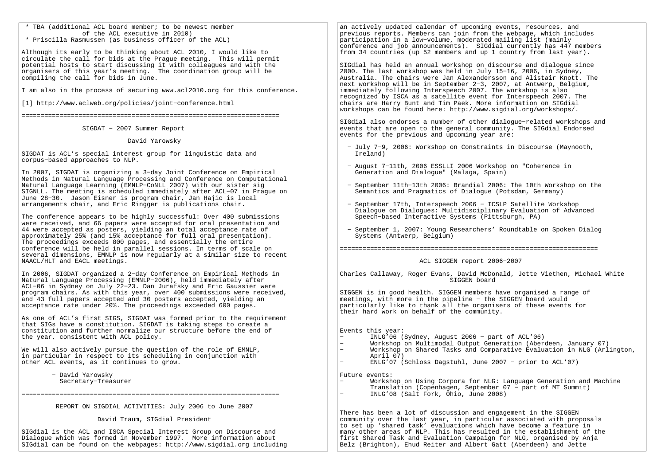| * TBA (additional ACL board member; to be newest member                                                                                    | an actively updated calendar of upcoming events, resources, and                                                                              |
|--------------------------------------------------------------------------------------------------------------------------------------------|----------------------------------------------------------------------------------------------------------------------------------------------|
| of the ACL executive in 2010)<br>* Priscilla Rasmussen (as business officer of the ACL)                                                    | previous reports. Members can join from the webpage, which includes                                                                          |
|                                                                                                                                            | participation in a low-volume, moderated mailing list (mainly<br>conference and job announcements). SIGdial currently has 447 members        |
| Although its early to be thinking about ACL 2010, I would like to                                                                          | from 34 countries (up 52 members and up 1 country from last year).                                                                           |
| circulate the call for bids at the Prague meeting. This will permit                                                                        |                                                                                                                                              |
| potential hosts to start discussing it with colleagues and with the                                                                        | SIGdial has held an annual workshop on discourse and dialoque since                                                                          |
| organisers of this year's meeting. The coordination group will be                                                                          | 2000. The last workshop was held in July 15-16, 2006, in Sydney,                                                                             |
| compiling the call for bids in June.                                                                                                       | Australia. The chairs were Jan Alexandersson and Alistair Knott. The                                                                         |
| I am also in the process of securing www.acl2010.org for this conference.                                                                  | next workshop will be in September 2-3, 2007, at Antwerp, Belgium,<br>immediately following Interspeech 2007. The workshop is also           |
|                                                                                                                                            | recognized by ISCA as a satellite event for Interspeech 2007. The                                                                            |
| [1] http://www.aclweb.org/policies/joint-conference.html                                                                                   | chairs are Harry Bunt and Tim Paek. More information on SIGdial                                                                              |
|                                                                                                                                            | workshops can be found here: http://www.sigdial.org/workshops/.                                                                              |
|                                                                                                                                            |                                                                                                                                              |
|                                                                                                                                            | SIGdial also endorses a number of other dialogue-related workshops and                                                                       |
| SIGDAT - 2007 Summer Report                                                                                                                | events that are open to the general community. The SIGdial Endorsed<br>events for the previous and upcoming year are:                        |
| David Yarowsky                                                                                                                             |                                                                                                                                              |
|                                                                                                                                            | - July 7-9, 2006: Workshop on Constraints in Discourse (Maynooth,                                                                            |
| SIGDAT is ACL's special interest group for linguistic data and                                                                             | Ireland)                                                                                                                                     |
| corpus-based approaches to NLP.                                                                                                            |                                                                                                                                              |
|                                                                                                                                            | - August 7-11th, 2006 ESSLLI 2006 Workshop on "Coherence in                                                                                  |
| In 2007, SIGDAT is organizing a 3-day Joint Conference on Empirical                                                                        | Generation and Dialogue" (Malaga, Spain)                                                                                                     |
| Methods in Natural Language Processing and Conference on Computational<br>Natural Language Learning (EMNLP-CoNLL 2007) with our sister sig | - September 11th-13th 2006: Brandial 2006: The 10th Workshop on the                                                                          |
| SIGNLL. The meeting is scheduled immediately after ACL-07 in Praque on                                                                     | Semantics and Pragmatics of Dialogue (Potsdam, Germany)                                                                                      |
| June 28-30. Jason Eisner is program chair, Jan Hajic is local                                                                              |                                                                                                                                              |
| arrangements chair, and Eric Ringger is publications chair.                                                                                | - September 17th, Interspeech 2006 - ICSLP Satellite Workshop                                                                                |
|                                                                                                                                            | Dialogue on Dialogues: Multidisciplinary Evaluation of Advanced                                                                              |
| The conference appears to be highly successful: Over 400 submissions                                                                       | Speech-based Interactive Systems (Pittsburgh, PA)                                                                                            |
| were received, and 66 papers were accepted for oral presentation and<br>44 were accepted as posters, yielding an total acceptance rate of  | - September 1, 2007: Young Researchers' Roundtable on Spoken Dialog                                                                          |
| approximately 25% (and 15% acceptance for full oral presentation).                                                                         | Systems (Antwerp, Belgium)                                                                                                                   |
| The proceedings exceeds 800 pages, and essentially the entire                                                                              |                                                                                                                                              |
| conference will be held in parallel sessions. In terms of scale on                                                                         |                                                                                                                                              |
| several dimensions, EMNLP is now regularly at a similar size to recent                                                                     |                                                                                                                                              |
| NAACL/HLT and EACL meetings.                                                                                                               | ACL SIGGEN report 2006-2007                                                                                                                  |
| In 2006, SIGDAT organized a 2-day Conference on Empirical Methods in                                                                       | Charles Callaway, Roger Evans, David McDonald, Jette Viethen, Michael White                                                                  |
| Natural Language Processing (EMNLP-2006), held immediately after                                                                           | SIGGEN board                                                                                                                                 |
| ACL-06 in Sydney on July 22-23. Dan Jurafsky and Eric Gaussier were                                                                        |                                                                                                                                              |
| program chairs. As with this year, over 400 submissions were received,                                                                     | SIGGEN is in good health. SIGGEN members have organised a range of                                                                           |
| and 43 full papers accepted and 30 posters accepted, yielding an                                                                           | meetings, with more in the pipeline - the SIGGEN board would                                                                                 |
| acceptance rate under 20%. The proceedings exceeded 600 pages.                                                                             | particularly like to thank all the organisers of these events for<br>their hard work on behalf of the community.                             |
| As one of ACL's first SIGS, SIGDAT was formed prior to the requirement                                                                     |                                                                                                                                              |
| that SIGs have a constitution. SIGDAT is taking steps to create a                                                                          |                                                                                                                                              |
| constitution and further normalize our structure before the end of                                                                         | Events this year:                                                                                                                            |
| the year, consistent with ACL policy.                                                                                                      | INLG'06 (Sydney, August 2006 - part of ACL'06)                                                                                               |
|                                                                                                                                            | $\equiv$<br>Workshop on Multimodal Output Generation (Aberdeen, January 07)                                                                  |
| We will also actively pursue the question of the role of EMNLP,<br>in particular in respect to its scheduling in conjunction with          | Workshop on Shared Tasks and Comparative Evaluation in NLG (Arlington,<br>April 07)                                                          |
| other ACL events, as it continues to grow.                                                                                                 | $ENLG'07$ (Schloss Dagstuhl, June 2007 - prior to ACL'07)                                                                                    |
|                                                                                                                                            |                                                                                                                                              |
| - David Yarowsky                                                                                                                           | Future events:                                                                                                                               |
| Secretary-Treasurer                                                                                                                        | Workshop on Using Corpora for NLG: Language Generation and Machine                                                                           |
|                                                                                                                                            | Translation (Copenhagen, September 07 - part of MT Summit)<br>INLG'08 (Salt Fork, Ohio, June 2008)                                           |
| REPORT ON SIGDIAL ACTIVITIES: July 2006 to June 2007                                                                                       |                                                                                                                                              |
| David Traum, SIGdial President                                                                                                             | There has been a lot of discussion and engagement in the SIGGEN<br>community over the last year, in particular associated with proposals     |
| SIGdial is the ACL and ISCA Special Interest Group on Discourse and                                                                        | to set up 'shared task' evaluations which have become a feature in<br>many other areas of NLP. This has resulted in the establishment of the |
| Dialogue which was formed in November 1997. More information about                                                                         | first Shared Task and Evaluation Campaign for NLG, organised by Anja                                                                         |
| SIGdial can be found on the webpages: http://www.sigdial.org including                                                                     | Belz (Brighton), Ehud Reiter and Albert Gatt (Aberdeen) and Jette                                                                            |
|                                                                                                                                            |                                                                                                                                              |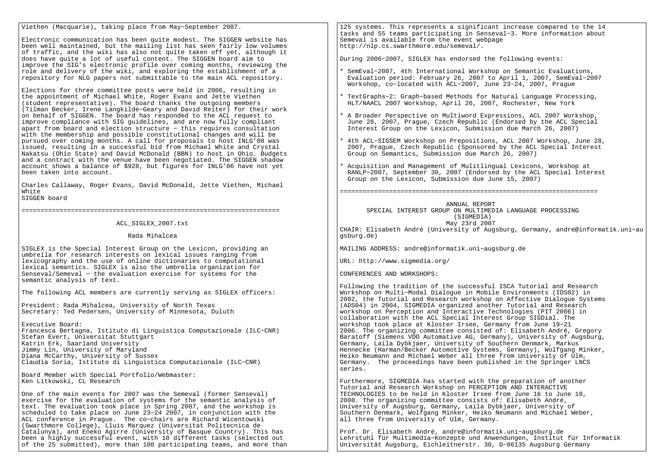Viethen (Macquarie), taking place from May−September 2007.

Electronic communication has been quite modest. The SIGGEN website has been well maintained, but the mailing list has seen fairly low volumes of traffic, and the wiki has also not quite taken off yet, although itdoes have quite a lot of useful content. The SIGGEN board aim to improve the SIG's electronic profile over coming months, reviewing therole and delivery of the wiki, and exploring the establishment of arepository for NLG papers not submittable to the main ACL repository.

Elections for three committee posts were held in 2006, resulting inthe appointment of Michael White, Roger Evans and Jette Viethen (student representative). The board thanks the outgoing members (Tilman Becker, Irene Langkilde−Geary and David Reiter) for their workon behalf of SIGGEN. The board has responded to the ACL request to improve compliance with SIG guidelines, and are now fully compliant apart from board and election structure − this requires consultation with the membership and possible constitutional changes and will be pursued over coming months. A call for proposals to host INLG'08 was issued, resulting in a successful bid from Michael White and Crystal Nakatsu (Ohio State) and David McDonald (BBN) to host in Ohio. Budgets and a contract with the venue have been negotiated. The SIGGEN shadow account shows a balance of \$928, but figures for INLG'06 have not yetbeen taken into account.

Charles Callaway, Roger Evans, David McDonald, Jette Viethen, MichaelWhite

SIGGEN board

====================================================================

ACL\_SIGLEX\_2007.txt

Rada Mihalcea

SIGLEX is the Special Interest Group on the Lexicon, providing anumbrella for research interests on lexical issues ranging from lexicography and the use of online dictionaries to computational lexical semantics. SIGLEX is also the umbrella organization for Senseval/Semeval − the evaluation exercise for systems for thesemantic analysis of text.

The following ACL members are currently serving as SIGLEX officers:

President: Rada Mihalcea, University of North TexasSecretary: Ted Pedersen, University of Minnesota, Duluth

Executive Board: Francesca Bertagna, Istituto di Linguistica Computazionale (ILC−CNR)Stefan Evert, Universitat StuttgartKatrin Erk, Saarland University Jimmy Lin, University of Maryland Diana McCarthy, University of SussexClaudia Soria, Istituto di Linguistica Computazionale (ILC−CNR)

Board Member with Special Portfolio/Webmaster:Ken Litkowski, CL Research

One of the main events for 2007 was the Semeval (former Senseval) exercise for the evaluation of systems for the semantic analysis of text. The evaluation took place in Spring 2007, and the workshop is scheduled to take place on June 23−24 2007, in conjunction with theACL conference in Prague. The co−chairs are Richard Wicentowski (Swarthmore College), Lluis Marquez (Universitat Politecnica de Catalunya), and Eneko Agirre (University of Basque Country). This has been a highly successful event, with 18 different tasks (selected outof the 25 submitted), more than 100 participating teams, and more than 125 systems. This represents a significant increase compared to the 14 tasks and 55 teams participating in Senseval−3. More information aboutSemeval is available from the event webpagehttp://nlp.cs.swarthmore.edu/semeval/.

During 2006−2007, SIGLEX has endorsed the following events:

- \* SemEval−2007, 4th International Workshop on Semantic Evaluations, Evaluation period: February 26, 2007 to April 1, 2007, SemEval−2007Workshop, co−located with ACL−2007, June 23−24, 2007, Prague
- \* TextGraphs−2: Graph−based Methods for Natural Language Processing,HLT/NAACL 2007 Workshop, April 26, 2007, Rochester, New York
- \* A Broader Perspective on Multiword Expressions, ACL 2007 Workshop, June 28, 2007, Prague, Czech Republic (Endorsed by the ACL SpecialInterest Group on the Lexicon, Submission due March 26, 2007)
- \* 4th ACL−SIGSEM Workshop on Prepositions, ACL 2007 Workshop, June 28, 2007, Prague, Czech Republic (Sponsored by the ACL Special InterestGroup on Semantics, Submission due March 26, 2007)

\* Acquisition and Management of Mulitlingual Lexicons, Workshop at RANLP−2007, September 30, 2007 (Endorsed by the ACL Special InterestGroup on the Lexicon, Submission due June 15, 2007)

====================================================================

 ANNUAL REPORT SPECIAL INTEREST GROUP ON MULTIMEDIA LANGUAGE PROCESSING (SIGMEDIA)May 23rd 2007

 CHAIR: Elisabeth André (University of Augsburg, Germany, andre@informatik.uni−augsburg.de)

MAILING ADDRESS: andre@informatik.uni−augsburg.de

URL: http://www.sigmedia.org/

CONFERENCES AND WORKSHOPS:

Following the tradition of the successful ISCA Tutorial and ResearchWorkshop on Multi−Modal Dialogue in Mobile Environments (IDS02) in 2002, the Tutorial and Research workshop on Affective Dialogue Systems(ADS04) in 2004, SIGMEDIA organized another Tutorial and Research workshop on Perception and Interactive Technologies (PIT 2006) incollaboration with the ACL Special Interest Group SIGDial. The workshop took place at Kloster Irsee, Germany from June 19−21 2006. The organizing committee consisted of: Elisabeth André, Gregory Baratoff (Siemens VDO Automative AG, Germany), University of Augsburg,Germany, Laila Dybkjaer, University of Southern Denmark, Markus Hennecke (Harman/Becker Automotive Systems, Germany), Wolfgang Minker,Heiko Neumann and Michael Weber all three from University of Ulm, Germany. The proceedings have been published in the Springer LNCSseries.

Furthermore, SIGMEDIA has started with the preparation of anotherTutorial and Research Workshop on PERCEPTION AND INTERACTIVE TECHNOLOGIES to be held in Kloster Irsee from June 16 to June 18,2008. The organizing committee consists of: Elisabeth André, University of Augsburg, Germany, Laila Dybkjaer, University of Southern Denmark, Wolfgang Minker, Heiko Neumann and Michael Weber,all three from University of Ulm, Germany.

Prof. Dr. Elisabeth André, andre@informatik.uni−augsburg.de Lehrstuhl für Multimedia−Konzepte und Anwendungen, Institut für InformatikUniversität Augsburg, Eichleitnerstr. 30, D−86135 Augsburg Germany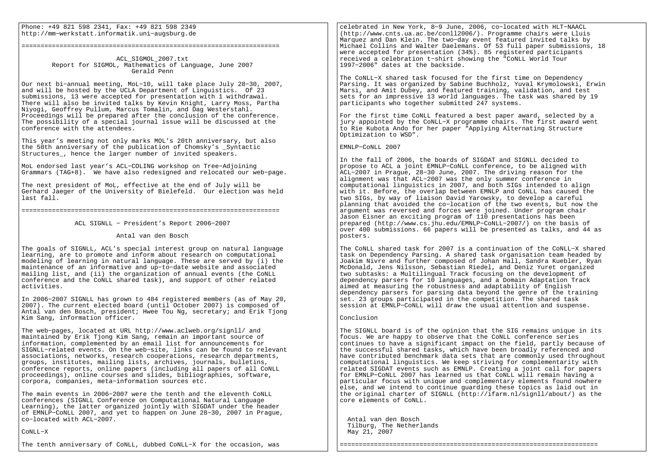Phone: +49 821 598 2341, Fax: +49 821 598 2349http://mm−werkstatt.informatik.uni−augsburg.de

#### ====================================================================

 ACL\_SIGMOL\_2007.txt Report for SIGMOL, Mathematics of Language, June 2007Gerald Penn

Our next bi−annual meeting, MoL−10, will take place July 28−30, 2007,and will be hosted by the UCLA Department of Linguistics. Of 23 submissions, 13 were accepted for presentation with 1 withdrawal. There will also be invited talks by Kevin Knight, Larry Moss, ParthaNiyogi, Geoffrey Pullum, Marcus Tomalin, and Dag Westerstahl. Proceedings will be prepared after the conclusion of the conference. The possibility of a special journal issue will be discussed at theconference with the attendees.

This year's meeting not only marks MOL's 20th anniversary, but alsothe 50th anniversary of the publication of Chomsky's \_SyntacticStructures, hence the larger number of invited speakers.

MoL endorsed last year's ACL−COLING workshop on Tree−AdjoiningGrammars (TAG+8). We have also redesigned and relocated our web−page.

The next president of MoL, effective at the end of July will be Gerhard Jaeger of the University of Bielefeld. Our election was heldlast fall.

====================================================================

ACL SIGNLL − President's Report 2006−2007

Antal van den Bosch

The goals of SIGNLL, ACL's special interest group on natural language learning, are to promote and inform about research on computational modeling of learning in natural language. These are served by (i) the maintenance of an informative and up−to−date website and associated mailing list, and (ii) the organization of annual events (the CoNLL conference and the CoNLL shared task), and support of other related activities.

In 2006−2007 SIGNLL has grown to 484 registered members (as of May 20, 2007). The current elected board (until October 2007) is composed of Antal van den Bosch, president; Hwee Tou Ng, secretary; and Erik Tjong Kim Sang, information officer.

The web−pages, located at URL http://www.aclweb.org/signll/ and maintained by Erik Tjong Kim Sang, remain an important source of information, complemented by an email list for announcements for SIGNLL−related events. On the web−site, links can be found to relevant associations, networks, research cooperations, research departments, groups, institutes, mailing lists, archives, journals, bulletins, conference reports, online papers (including all papers of all CoNLL proceedings), online courses and slides, bibliographies, software, corpora, companies, meta−information sources etc.

The main events in 2006−2007 were the tenth and the eleventh CoNLL conferences (SIGNLL Conference on Computational Natural Language Learning), the latter organized jointly with SIGDAT under the header of EMNLP−CoNLL 2007, and yet to happen on June 28−30, 2007 in Prague, co−located with ACL−2007.

#### CoNLL−X

The tenth anniversary of CoNLL, dubbed CoNLL−X for the occasion, was

celebrated in New York, 8−9 June, 2006, co−located with HLT−NAACL (http://www.cnts.ua.ac.be/conll2006/). Programme chairs were Lluis Marquez and Dan Klein. The two−day event featured invited talks by Michael Collins and Walter Daelemans. Of 53 full paper submissions, 18 were accepted for presentation (34%). 85 registered participants received a celebration t−shirt showing the "CoNLL World Tour 1997−2006" dates at the backside.

The CoNLL−X shared task focused for the first time on Dependency Parsing. It was organized by Sabine Buchholz, Yuval Krymolowski, Erwin Marsi, and Amit Dubey, and featured training, validation, and test sets for an impressive 13 world languages. The task was shared by 19 participants who together submitted 247 systems.

For the first time CoNLL featured a best paper award, selected by a jury appointed by the CoNLL−X programme chairs. The first award went to Rie Kubota Ando for her paper "Applying Alternating Structure Optimization to WSD".

EMNLP−CoNLL 2007

In the fall of 2006, the boards of SIGDAT and SIGNLL decided to propose to ACL a joint EMNLP−CoNLL conference, to be aligned with ACL−2007 in Prague, 28−30 June, 2007. The driving reason for the alignment was that ACL−2007 was the only summer conference in computational linguistics in 2007, and both SIGs intended to align with it. Before, the overlap between EMNLP and CoNLL has caused the two SIGs, by way of liaison David Yarowsky, to develop a careful planning that avoided the co−location of the two events, but now the argument was reversed and forces were joined. Under program chair Jason Eisner an exciting program of 110 presentations has been prepared (http://www.cs.jhu.edu/EMNLP−CoNLL−2007/) on the basis of over 400 submissions. 66 papers will be presented as talks, and 44 as posters.

The CoNLL shared task for 2007 is a continuation of the CoNLL−X shared task on Dependency Parsing. A shared task organisation team headed by Joakim Nivre and further composed of Johan Hall, Sandra Kuebler, Ryan McDonald, Jens Nilsson, Sebastian Riedel, and Deniz Yuret organized two subtasks: a Multilingual Track focusing on the development of dependency parsers for 10 languages, and a Domain Adaptation Track aimed at measuring the robustness and adaptability of English dependency parsers for parsing data beyond the genre of the training set. 23 groups participated in the competition. The shared task session at EMNLP−CoNLL will draw the usual attention and suspense.

#### Conclusion

The SIGNLL board is of the opinion that the SIG remains unique in its focus. We are happy to observe that the CoNLL conference series continues to have a significant impact on the field, partly because of the successful shared tasks, which have been broadly referenced and have contributed benchmark data sets that are commonly used throughout computational linguistics. We keep striving for complementarity with related SIGDAT events such as EMNLP. Creating a joint call for papers for EMNLP−CoNLL 2007 has learned us that CoNLL will remain having a particular focus with unique and complementary elements found nowhere else, and we intend to continue guarding these topics as laid out in the original charter of SIGNLL (http://ifarm.nl/signll/about/) as the core elements of CoNLL.

====================================================================

 Antal van den Bosch Tilburg, The NetherlandsMay 21, 2007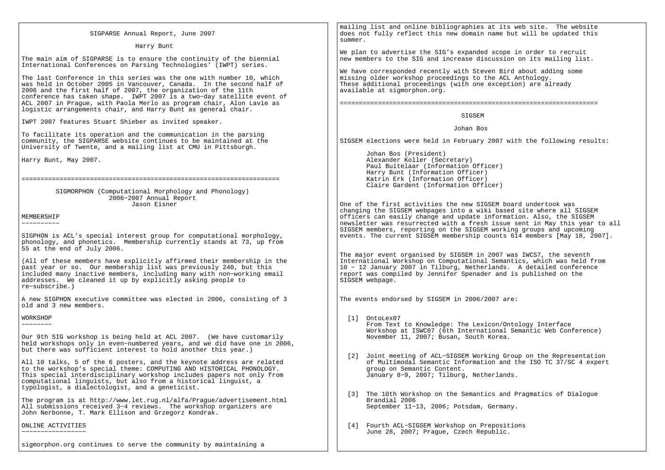| SIGPARSE Annual Report, June 2007                                                                                                                                                                                                                                                                                                                                                                                               | mailing list and online bibliographies at its web site. The website<br>does not fully reflect this new domain name but will be updated this<br>summer.                                                                                                                                                     |
|---------------------------------------------------------------------------------------------------------------------------------------------------------------------------------------------------------------------------------------------------------------------------------------------------------------------------------------------------------------------------------------------------------------------------------|------------------------------------------------------------------------------------------------------------------------------------------------------------------------------------------------------------------------------------------------------------------------------------------------------------|
| Harry Bunt                                                                                                                                                                                                                                                                                                                                                                                                                      |                                                                                                                                                                                                                                                                                                            |
| The main aim of SIGPARSE is to ensure the continuity of the biennial<br>International Conferences on Parsing Technologies' (IWPT) series.                                                                                                                                                                                                                                                                                       | We plan to advertise the SIG's expanded scope in order to recruit<br>new members to the SIG and increase discussion on its mailing list.                                                                                                                                                                   |
| The last Conference in this series was the one with number 10, which<br>was held in October 2005 in Vancouver, Canada. In the second half of<br>2006 and the first half of 2007, the organization of the 11th<br>conference has taken shape. IWPT 2007 is a two-day satellite event of<br>ACL 2007 in Prague, with Paola Merlo as program chair, Alon Lavie as<br>logistic arrangements chair, and Harry Bunt as general chair. | We have corresponded recently with Steven Bird about adding some<br>missing older workshop proceedings to the ACL Anthology.<br>These additional proceedings (with one exception) are already<br>available at sigmorphon.org.                                                                              |
| IWPT 2007 features Stuart Shieber as invited speaker.                                                                                                                                                                                                                                                                                                                                                                           | SIGSEM                                                                                                                                                                                                                                                                                                     |
|                                                                                                                                                                                                                                                                                                                                                                                                                                 | Johan Bos                                                                                                                                                                                                                                                                                                  |
| To facilitate its operation and the communication in the parsing<br>community, the SIGPARSE website continues to be maintained at the<br>University of Twente, and a mailing list at CMU in Pittsburgh.                                                                                                                                                                                                                         | SIGSEM elections were held in February 2007 with the following results:                                                                                                                                                                                                                                    |
| Harry Bunt, May 2007.                                                                                                                                                                                                                                                                                                                                                                                                           | Johan Bos (President)<br>Alexander Koller (Secretary)<br>Paul Buitelaar (Information Officer)                                                                                                                                                                                                              |
|                                                                                                                                                                                                                                                                                                                                                                                                                                 | Harry Bunt (Information Officer)<br>Katrin Erk (Information Officer)<br>Claire Gardent (Information Officer)                                                                                                                                                                                               |
| SIGMORPHON (Computational Morphology and Phonology)                                                                                                                                                                                                                                                                                                                                                                             |                                                                                                                                                                                                                                                                                                            |
| 2006-2007 Annual Report<br>Jason Eisner                                                                                                                                                                                                                                                                                                                                                                                         | One of the first activities the new SIGSEM board undertook was                                                                                                                                                                                                                                             |
| MEMBERSHIP<br>-----------                                                                                                                                                                                                                                                                                                                                                                                                       | changing the SIGSEM webpages into a wiki based site where all SIGSEM<br>officers can easily change and update information. Also, the SIGSEM<br>newsletter was resurrected with a fresh issue sent in May this year to all<br>SIGSEM members, reporting on the SIGSEM working groups and upcoming           |
| SIGPHON is ACL's special interest group for computational morphology,<br>phonology, and phonetics. Membership currently stands at 73, up from<br>55 at the end of July 2006.                                                                                                                                                                                                                                                    | events. The current SIGSEM membership counts 614 members [May 18, 2007].                                                                                                                                                                                                                                   |
| (All of these members have explicitly affirmed their membership in the<br>past year or so. Our membership list was previously 240, but this<br>included many inactive members, including many with non-working email<br>addresses. We cleaned it up by explicitly asking people to<br>re-subscribe.)                                                                                                                            | The major event organised by SIGSEM in 2007 was IWCS7, the seventh<br>International Workshop on Computational Semantics, which was held from<br>10 - 12 January 2007 in Tilburg, Netherlands. A detailed conference<br>report was compiled by Jennifer Spenader and is published on the<br>SIGSEM webpage. |
| A new SIGPHON executive committee was elected in 2006, consisting of 3<br>old and 3 new members.                                                                                                                                                                                                                                                                                                                                | The events endorsed by SIGSEM in 2006/2007 are:                                                                                                                                                                                                                                                            |
| WORKSHOP<br>---------<br>Our 9th SIG workshop is being held at ACL 2007. (We have customarily                                                                                                                                                                                                                                                                                                                                   | [1] OntoLex07<br>From Text to Knowledge: The Lexicon/Ontology Interface<br>Workshop at ISWC07 (6th International Semantic Web Conference)<br>November 11, 2007; Busan, South Korea.                                                                                                                        |
| held workshops only in even-numbered years, and we did have one in 2006,<br>but there was sufficient interest to hold another this year.)                                                                                                                                                                                                                                                                                       | [2] Joint meeting of ACL-SIGSEM Working Group on the Representation                                                                                                                                                                                                                                        |
| All 10 talks, 5 of the 6 posters, and the keynote address are related<br>to the workshop's special theme: COMPUTING AND HISTORICAL PHONOLOGY.<br>This special interdisciplinary workshop includes papers not only from<br>computational linguists, but also from a historical linguist, a<br>typologist, a dialectologist, and a geneticist.                                                                                    | of Multimodal Semantic Information and the ISO TC 37/SC 4 expert<br>group on Semantic Content.<br>January 8-9, 2007; Tilburg, Netherlands.                                                                                                                                                                 |
| The program is at http://www.let.rug.nl/alfa/Prague/advertisement.html<br>All submissions received 3-4 reviews. The workshop organizers are<br>John Nerbonne, T. Mark Ellison and Grzegorz Kondrak.                                                                                                                                                                                                                             | [3] The 10th Workshop on the Semantics and Pragmatics of Dialogue<br>Brandial 2006<br>September 11-13, 2006; Potsdam, Germany.                                                                                                                                                                             |
| ONLINE ACTIVITIES<br>-----------------                                                                                                                                                                                                                                                                                                                                                                                          | [4] Fourth ACL-SIGSEM Workshop on Prepositions<br>June 28, 2007; Prague, Czech Republic.                                                                                                                                                                                                                   |
| sigmorphon.org continues to serve the community by maintaining a                                                                                                                                                                                                                                                                                                                                                                |                                                                                                                                                                                                                                                                                                            |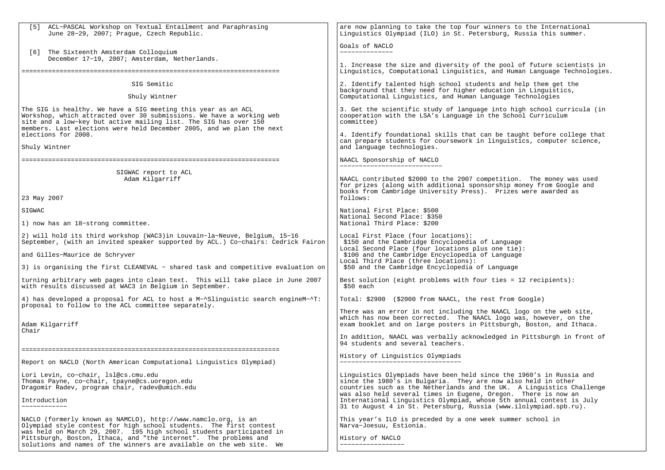| [5] ACL-PASCAL Workshop on Textual Entailment and Paraphrasing<br>June 28-29, 2007; Prague, Czech Republic.                                                                                                                                                                        | are now planning to take the top four winners to the International<br>Linguistics Olympiad (ILO) in St. Petersburg, Russia this summer.                                                                                                                                                                                                                                                                                      |
|------------------------------------------------------------------------------------------------------------------------------------------------------------------------------------------------------------------------------------------------------------------------------------|------------------------------------------------------------------------------------------------------------------------------------------------------------------------------------------------------------------------------------------------------------------------------------------------------------------------------------------------------------------------------------------------------------------------------|
| [6] The Sixteenth Amsterdam Colloquium<br>December 17-19, 2007; Amsterdam, Netherlands.                                                                                                                                                                                            | Goals of NACLO<br>______________                                                                                                                                                                                                                                                                                                                                                                                             |
|                                                                                                                                                                                                                                                                                    | 1. Increase the size and diversity of the pool of future scientists in<br>Linguistics, Computational Linguistics, and Human Language Technologies.                                                                                                                                                                                                                                                                           |
| SIG Semitic                                                                                                                                                                                                                                                                        | 2. Identify talented high school students and help them get the<br>background that they need for higher education in Linguistics,                                                                                                                                                                                                                                                                                            |
| Shuly Wintner                                                                                                                                                                                                                                                                      | Computational Linguistics, and Human Language Technologies                                                                                                                                                                                                                                                                                                                                                                   |
| The SIG is healthy. We have a SIG meeting this year as an ACL<br>Workshop, which attracted over 30 submissions. We have a working web<br>site and a low-key but active mailing list. The SIG has over 150<br>members. Last elections were held December 2005, and we plan the next | 3. Get the scientific study of language into high school curricula (in<br>cooperation with the LSA's Language in the School Curriculum<br>committee)                                                                                                                                                                                                                                                                         |
| elections for 2008.<br>Shuly Wintner                                                                                                                                                                                                                                               | 4. Identify foundational skills that can be taught before college that<br>can prepare students for coursework in linguistics, computer science,<br>and language technologies.                                                                                                                                                                                                                                                |
|                                                                                                                                                                                                                                                                                    | NAACL Sponsorship of NACLO                                                                                                                                                                                                                                                                                                                                                                                                   |
|                                                                                                                                                                                                                                                                                    | _____________________________                                                                                                                                                                                                                                                                                                                                                                                                |
| SIGWAC report to ACL<br>Adam Kilgarriff                                                                                                                                                                                                                                            | NAACL contributed \$2000 to the 2007 competition. The money was used<br>for prizes (along with additional sponsorship money from Google and<br>books from Cambridge University Press). Prizes were awarded as                                                                                                                                                                                                                |
| 23 May 2007                                                                                                                                                                                                                                                                        | follows:                                                                                                                                                                                                                                                                                                                                                                                                                     |
| SIGWAC                                                                                                                                                                                                                                                                             | National First Place: \$500<br>National Second Place: \$350                                                                                                                                                                                                                                                                                                                                                                  |
| 1) now has an 18-strong committee.                                                                                                                                                                                                                                                 | National Third Place: \$200                                                                                                                                                                                                                                                                                                                                                                                                  |
| 2) will hold its third workshop (WAC3) in Louvain-la-Neuve, Belgium, 15-16<br>September, (with an invited speaker supported by ACL.) Co-chairs: Cedrick Fairon                                                                                                                     | Local First Place (four locations):<br>\$150 and the Cambridge Encyclopedia of Language<br>Local Second Place (four locations plus one tie):                                                                                                                                                                                                                                                                                 |
| and Gilles-Maurice de Schryver<br>3) is organising the first CLEANEVAL - shared task and competitive evaluation on                                                                                                                                                                 | \$100 and the Cambridge Encyclopedia of Language<br>Local Third Place (three locations):<br>\$50 and the Cambridge Encyclopedia of Language                                                                                                                                                                                                                                                                                  |
|                                                                                                                                                                                                                                                                                    |                                                                                                                                                                                                                                                                                                                                                                                                                              |
| turning arbitrary web pages into clean text.  This will take place in June 2007<br>with results discussed at WAC3 in Belgium in September.                                                                                                                                         | Best solution (eight problems with four ties = 12 recipients):<br>\$50 each                                                                                                                                                                                                                                                                                                                                                  |
| 4) has developed a proposal for ACL to host a M-^Slinguistic search engineM-^T:<br>proposal to follow to the ACL committee separately.                                                                                                                                             | Total: \$2900 (\$2000 from NAACL, the rest from Google)                                                                                                                                                                                                                                                                                                                                                                      |
| Adam Kilgarriff<br>Chair                                                                                                                                                                                                                                                           | There was an error in not including the NAACL logo on the web site,<br>which has now been corrected. The NAACL logo was, however, on the<br>exam booklet and on large posters in Pittsburgh, Boston, and Ithaca.                                                                                                                                                                                                             |
|                                                                                                                                                                                                                                                                                    | In addition, NAACL was verbally acknowledged in Pittsburgh in front of<br>94 students and several teachers.                                                                                                                                                                                                                                                                                                                  |
| Report on NACLO (North American Computational Linguistics Olympiad)                                                                                                                                                                                                                | History of Linguistics Olympiads                                                                                                                                                                                                                                                                                                                                                                                             |
| Lori Levin, co-chair, 1sl@cs.cmu.edu<br>Thomas Payne, co-chair, tpayne@cs.uoregon.edu<br>Dragomir Radev, program chair, radev@umich.edu<br>Introduction<br>____________                                                                                                            | Linguistics Olympiads have been held since the 1960's in Russia and<br>since the 1980's in Bulgaria. They are now also held in other<br>countries such as the Netherlands and the UK. A Linguistics Challenge<br>was also held several times in Eugene, Oregon. There is now an<br>International Linguistics Olympiad, whose 5th annual contest is July<br>31 to August 4 in St. Petersburg, Russia (www.ilolympiad.spb.ru). |
| NACLO (formerly known as NAMCLO), http://www.namclo.org, is an<br>Olympiad style contest for high school students. The first contest                                                                                                                                               | This year's ILO is preceded by a one week summer school in<br>Narva-Joesuu, Estionia.                                                                                                                                                                                                                                                                                                                                        |
| was held on March 29, 2007. 195 high school students participated in<br>Pittsburgh, Boston, Ithaca, and "the internet". The problems and<br>solutions and names of the winners are available on the web site. We                                                                   | History of NACLO                                                                                                                                                                                                                                                                                                                                                                                                             |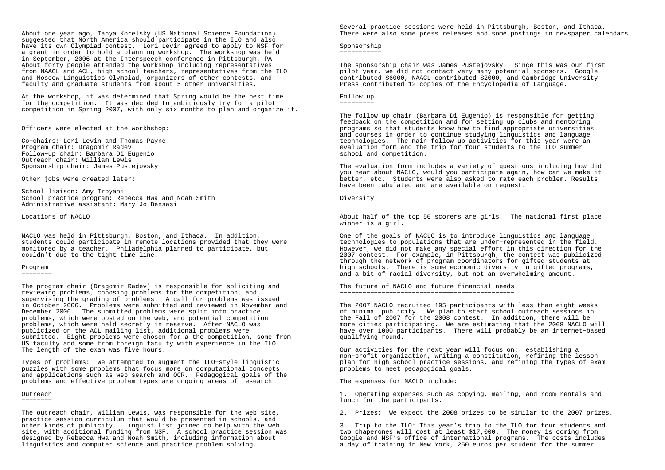About one year ago, Tanya Korelsky (US National Science Foundation) suggested that North America should participate in the ILO and also have its own Olympiad contest. Lori Levin agreed to apply to NSF for a grant in order to hold a planning workshop. The workshop was held in September, 2006 at the Interspeech conference in Pittsburgh, PA. About forty people attended the workshop including representatives from NAACL and ACL, high school teachers, representatives from the ILO and Moscow Linguistics Olympiad, organizers of other contests, and faculty and graduate students from about 5 other universities.

At the workshop, it was determined that Spring would be the best time for the competition. It was decided to ambitiously try for a pilot competition in Spring 2007, with only six months to plan and organize it.

Officers were elected at the workhshop:

Co−chairs: Lori Levin and Thomas Payne Program chair: Dragomir Radev Follow−up chair: Barbara Di Eugenio Outreach chair: William Lewis Sponsorship chair: James Pustejovsky

Other jobs were created later:

School liaison: Amy Troyani School practice program: Rebecca Hwa and Noah Smith Administrative assistant: Mary Jo Bensasi

Locations of NACLO−−−−−−−−−−−−−−−−−−

NACLO was held in Pittsburgh, Boston, and Ithaca. In addition, students could participate in remote locations provided that they were monitored by a teacher. Philadelphia planned to participate, but couldn't due to the tight time line.

Program

−−−−−−−−

The program chair (Dragomir Radev) is responsible for soliciting and reviewing problems, choosing problems for the competition, and supervising the grading of problems. A call for problems was issued in October 2006. Problems were submitted and reviewed in November and December 2006. The submitted problems were split into practice problems, which were posted on the web, and potential competition problems, which were held secretly in reserve. After NACLO was publicized on the ACL mailing list, additional problems were submitted. Eight problems were chosen for a the competition, some from US faculty and some from foreign faculty with experience in the ILO.The length of the exam was five hours.

Types of problems: We attempted to augment the ILO−style linguistic puzzles with some problems that focus more on computational concepts and applications such as web search and OCR. Pedagogical goals of the problems and effective problem types are ongoing areas of research.

Outreach−−−−−−−−

The outreach chair, William Lewis, was responsible for the web site, practice session curriculum that would be presented in schools, and other kinds of publicity. Linguist List joined to help with the web site, with additional funding from NSF. A school practice session was designed by Rebecca Hwa and Noah Smith, including information about linguistics and computer science and practice problem solving.

Several practice sessions were held in Pittsburgh, Boston, and Ithaca. There were also some press releases and some postings in newspaper calendars.

Sponsorship−−−−−−−−−−−

The sponsorship chair was James Pustejovsky. Since this was our first pilot year, we did not contact very many potential sponsors. Google contributed \$6000, NAACL contributed \$2000, and Cambridge University Press contributed 12 copies of the Encyclopedia of Language.

Follow up−−−−−−−−−

The follow up chair (Barbara Di Eugenio) is responsible for getting feedback on the competition and for setting up clubs and mentoring

 programs so that students know how to find appropriate universities and courses in order to continue studying linguistics and language technologies. The main follow up activities for this year were an evaluation form and the trip for four students to the ILO summer school and competition.

The evaluation form includes a variety of questions including how did you hear about NACLO, would you participate again, how can we make it better, etc. Students were also asked to rate each problem. Results have been tabulated and are available on request.

Diversity−−−−−−−−−

About half of the top 50 scorers are girls. The national first place winner is a girl.

One of the goals of NACLO is to introduce linguistics and language technologies to populations that are under−represented in the field. However, we did not make any special effort in this direction for the 2007 contest. For example, in Pittsburgh, the contest was publicized through the network of program coordinators for gifted students at high schools. There is some economic diversity in gifted programs, and a bit of racial diversity, but not an overwhelming amount.

The future of NACLO and future financial needs−−−−−−−−−−−−−−−−−−−−−−−−−−−−−−−−−−−−−−−−−−−−−−

The 2007 NACLO recruited 195 participants with less than eight weeks of minimal publicity. We plan to start school outreach sessions in the Fall of 2007 for the 2008 contest. In addition, there will be more cities participating. We are estimating that the 2008 NACLO will have over 1000 participants. There will probably be an internet−based qualifying round.

Our activities for the next year will focus on: establishing a non−profit organization, writing a constitution, refining the lesson plan for high school practice sessions, and refining the types of exam problems to meet pedagogical goals.

The expenses for NACLO include:

1. Operating expenses such as copying, mailing, and room rentals and lunch for the participants.

2. Prizes: We expect the 2008 prizes to be similar to the 2007 prizes.

3. Trip to the ILO: This year's trip to the ILO for four students and two chaperones will cost at least \$17,000. The money is coming from Google and NSF's office of international programs. The costs includes a day of training in New York, 250 euros per student for the summer